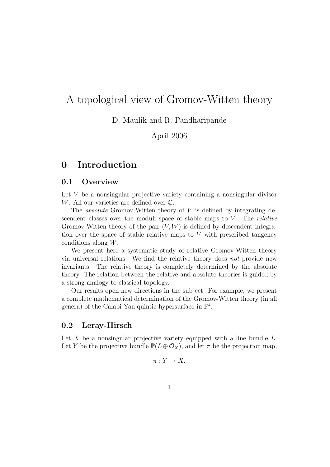# A topological view of Gromov-Witten theory

D. Maulik and R. Pandharipande

April 2006

# 0 Introduction

### 0.1 Overview

Let V be a nonsingular projective variety containing a nonsingular divisor W. All our varieties are defined over C.

The *absolute* Gromov-Witten theory of  $V$  is defined by integrating descendent classes over the moduli space of stable maps to  $V$ . The *relative* Gromov-Witten theory of the pair  $(V, W)$  is defined by descendent integration over the space of stable relative maps to V with prescribed tangency conditions along W.

We present here a systematic study of relative Gromov-Witten theory via universal relations. We find the relative theory does not provide new invariants. The relative theory is completely determined by the absolute theory. The relation between the relative and absolute theories is guided by a strong analogy to classical topology.

Our results open new directions in the subject. For example, we present a complete mathematical determination of the Gromov-Witten theory (in all genera) of the Calabi-Yau quintic hypersurface in  $\mathbb{P}^4$ .

## 0.2 Leray-Hirsch

Let X be a nonsingular projective variety equipped with a line bundle  $L$ . Let Y be the projective bundle  $\mathbb{P}(L \oplus \mathcal{O}_X)$ , and let  $\pi$  be the projection map,

$$
\pi: Y \to X.
$$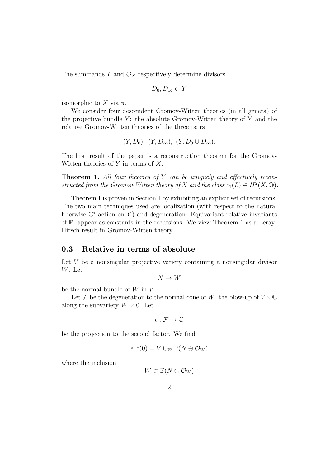The summands  $L$  and  $\mathcal{O}_X$  respectively determine divisors

$$
D_0, D_\infty \subset Y
$$

isomorphic to X via  $\pi$ .

We consider four descendent Gromov-Witten theories (in all genera) of the projective bundle  $Y$ : the absolute Gromov-Witten theory of  $Y$  and the relative Gromov-Witten theories of the three pairs

$$
(Y, D_0), (Y, D_{\infty}), (Y, D_0 \cup D_{\infty}).
$$

The first result of the paper is a reconstruction theorem for the Gromov-Witten theories of  $Y$  in terms of  $X$ .

**Theorem 1.** All four theories of Y can be uniquely and effectively reconstructed from the Gromov-Witten theory of X and the class  $c_1(L) \in H^2(X, \mathbb{Q})$ .

Theorem 1 is proven in Section 1 by exhibiting an explicit set of recursions. The two main techniques used are localization (with respect to the natural fiberwise  $\mathbb{C}^*$ -action on Y) and degeneration. Equivariant relative invariants of  $\mathbb{P}^1$  appear as constants in the recursions. We view Theorem 1 as a Leray-Hirsch result in Gromov-Witten theory.

## 0.3 Relative in terms of absolute

Let V be a nonsingular projective variety containing a nonsingular divisor W. Let

$$
N \to W
$$

be the normal bundle of  $W$  in  $V$ .

Let F be the degeneration to the normal cone of W, the blow-up of  $V \times \mathbb{C}$ along the subvariety  $W \times 0$ . Let

$$
\epsilon: \mathcal{F} \to \mathbb{C}
$$

be the projection to the second factor. We find

$$
\epsilon^{-1}(0) = V \cup_W \mathbb{P}(N \oplus \mathcal{O}_W)
$$

where the inclusion

$$
W \subset \mathbb{P}(N \oplus \mathcal{O}_W)
$$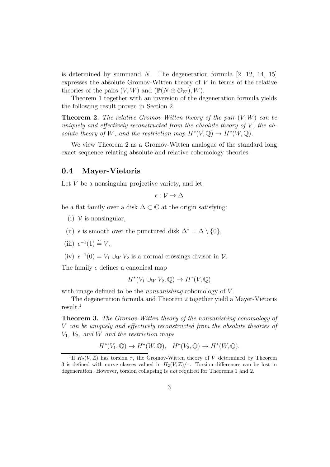is determined by summand  $N$ . The degeneration formula  $[2, 12, 14, 15]$ expresses the absolute Gromov-Witten theory of  $V$  in terms of the relative theories of the pairs  $(V, W)$  and  $(\mathbb{P}(N \oplus \mathcal{O}_W), W)$ .

Theorem 1 together with an inversion of the degeneration formula yields the following result proven in Section 2.

**Theorem 2.** The relative Gromov-Witten theory of the pair  $(V, W)$  can be uniquely and effectively reconstructed from the absolute theory of  $V$ , the absolute theory of W, and the restriction map  $H^*(V, \mathbb{Q}) \to H^*(W, \mathbb{Q})$ .

We view Theorem 2 as a Gromov-Witten analogue of the standard long exact sequence relating absolute and relative cohomology theories.

### 0.4 Mayer-Vietoris

Let V be a nonsingular projective variety, and let

$$
\epsilon: \mathcal{V} \to \Delta
$$

be a flat family over a disk  $\Delta \subset \mathbb{C}$  at the origin satisfying:

- $(i)$   $\nu$  is nonsingular,
- (ii)  $\epsilon$  is smooth over the punctured disk  $\Delta^* = \Delta \setminus \{0\},\$
- (iii)  $\epsilon^{-1}(1) \stackrel{\sim}{=} V$ ,

(iv)  $\epsilon^{-1}(0) = V_1 \cup_W V_2$  is a normal crossings divisor in  $V$ .

The family  $\epsilon$  defines a canonical map

$$
H^*(V_1 \cup_W V_2, \mathbb{Q}) \to H^*(V, \mathbb{Q})
$$

with image defined to be the *nonvanishing* cohomology of V.

The degeneration formula and Theorem 2 together yield a Mayer-Vietoris result.<sup>1</sup>

Theorem 3. The Gromov-Witten theory of the nonvanishing cohomology of V can be uniquely and effectively reconstructed from the absolute theories of  $V_1$ ,  $V_2$ , and W and the restriction maps

$$
H^*(V_1, \mathbb{Q}) \to H^*(W, \mathbb{Q}), \quad H^*(V_2, \mathbb{Q}) \to H^*(W, \mathbb{Q}).
$$

<sup>&</sup>lt;sup>1</sup>If  $H_2(V,\mathbb{Z})$  has torsion  $\tau$ , the Gromov-Witten theory of V determined by Theorem 3 is defined with curve classes valued in  $H_2(V,\mathbb{Z})/\tau$ . Torsion differences can be lost in degeneration. However, torsion collapsing is not required for Theorems 1 and 2.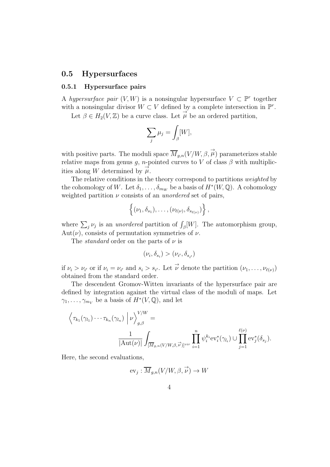## 0.5 Hypersurfaces

#### 0.5.1 Hypersurface pairs

A hypersurface pair  $(V, W)$  is a nonsingular hypersurface  $V \subset \mathbb{P}^r$  together with a nonsingular divisor  $W \subset V$  defined by a complete intersection in  $\mathbb{P}^r$ .

Let  $\beta \in H_2(V, \mathbb{Z})$  be a curve class. Let  $\overrightarrow{\mu}$  be an ordered partition,

$$
\sum_j \mu_j = \int_{\beta} [W],
$$

with positive parts. The moduli space  $\overline{M}_{g,n}(V/W,\beta, \overrightarrow{\mu})$  parameterizes stable relative maps from genus g, n-pointed curves to V of class  $\beta$  with multiplicities along W determined by  $\overrightarrow{\mu}$ .

The relative conditions in the theory correspond to partitions weighted by the cohomology of W. Let  $\delta_1, \ldots, \delta_{m_W}$  be a basis of  $H^*(W, \mathbb{Q})$ . A cohomology weighted partition  $\nu$  consists of an *unordered* set of pairs,

$$
\left\{(\nu_1,\delta_{s_1}),\ldots,(\nu_{\ell(\nu)},\delta_{s_{\ell(\nu)}})\right\},\,
$$

where  $\sum_j \nu_j$  is an *unordered* partition of  $\int_{\beta} [W]$ . The automorphism group, Aut $(\nu)$ , consists of permutation symmetries of  $\nu$ .

The *standard* order on the parts of  $\nu$  is

$$
(\nu_i, \delta_{s_i}) > (\nu_{i'}, \delta_{s_{i'}})
$$

if  $\nu_i > \nu_{i'}$  or if  $\nu_i = \nu_{i'}$  and  $s_i > s_{i'}$ . Let  $\vec{\nu}$  denote the partition  $(\nu_1, \ldots, \nu_{\ell(\nu)})$ obtained from the standard order.

The descendent Gromov-Witten invariants of the hypersurface pair are defined by integration against the virtual class of the moduli of maps. Let  $\gamma_1, \ldots, \gamma_{m_V}$  be a basis of  $H^*(V, \mathbb{Q})$ , and let

$$
\left\langle \tau_{k_1}(\gamma_{l_1}) \cdots \tau_{k_n}(\gamma_{l_n}) \middle| \nu \right\rangle_{g,\beta}^{V/W} = \frac{1}{|\mathrm{Aut}(\nu)|} \int_{\overline{[M_{g,n}(V/W,\beta,\vec{\nu})]^{vir}}} \prod_{i=1}^n \psi_i^{k_i} \mathrm{ev}_i^*(\gamma_{l_i}) \cup \prod_{j=1}^{\ell(\nu)} \mathrm{ev}_j^*(\delta_{s_j}).
$$

Here, the second evaluations,

$$
\text{ev}_j: \overline{M}_{g,n}(V/W, \beta, \overrightarrow{\nu}) \to W
$$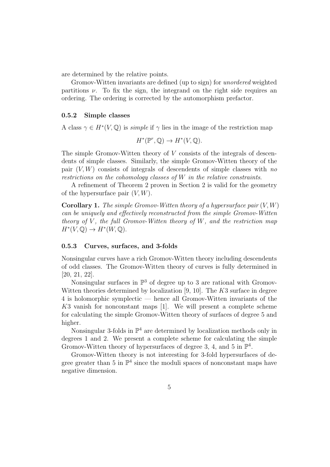are determined by the relative points.

Gromov-Witten invariants are defined (up to sign) for unordered weighted partitions  $\nu$ . To fix the sign, the integrand on the right side requires an ordering. The ordering is corrected by the automorphism prefactor.

#### 0.5.2 Simple classes

A class  $\gamma \in H^*(V, \mathbb{Q})$  is *simple* if  $\gamma$  lies in the image of the restriction map

$$
H^*(\mathbb{P}^r, \mathbb{Q}) \to H^*(V, \mathbb{Q}).
$$

The simple Gromov-Witten theory of V consists of the integrals of descendents of simple classes. Similarly, the simple Gromov-Witten theory of the pair  $(V, W)$  consists of integrals of descendents of simple classes with no restrictions on the cohomology classes of W in the relative constraints.

A refinement of Theorem 2 proven in Section 2 is valid for the geometry of the hypersurface pair  $(V, W)$ .

**Corollary 1.** The simple Gromov-Witten theory of a hypersurface pair  $(V, W)$ can be uniquely and effectively reconstructed from the simple Gromov-Witten theory of V, the full Gromov-Witten theory of W, and the restriction map  $H^*(V, \mathbb{Q}) \to H^*(W, \mathbb{Q}).$ 

### 0.5.3 Curves, surfaces, and 3-folds

Nonsingular curves have a rich Gromov-Witten theory including descendents of odd classes. The Gromov-Witten theory of curves is fully determined in [20, 21, 22].

Nonsingular surfaces in  $\mathbb{P}^3$  of degree up to 3 are rational with Gromov-Witten theories determined by localization [9, 10]. The  $K3$  surface in degree 4 is holomorphic symplectic — hence all Gromov-Witten invariants of the K3 vanish for nonconstant maps [1]. We will present a complete scheme for calculating the simple Gromov-Witten theory of surfaces of degree 5 and higher.

Nonsingular 3-folds in  $\mathbb{P}^4$  are determined by localization methods only in degrees 1 and 2. We present a complete scheme for calculating the simple Gromov-Witten theory of hypersurfaces of degree 3, 4, and 5 in  $\mathbb{P}^4$ .

Gromov-Witten theory is not interesting for 3-fold hypersurfaces of degree greater than 5 in  $\mathbb{P}^4$  since the moduli spaces of nonconstant maps have negative dimension.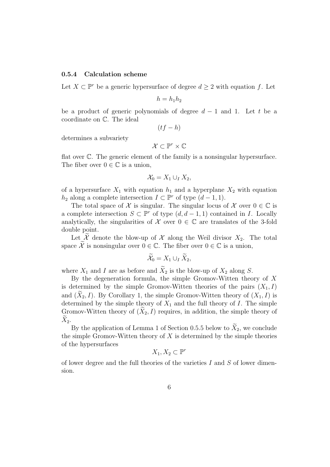#### 0.5.4 Calculation scheme

Let  $X \subset \mathbb{P}^r$  be a generic hypersurface of degree  $d \geq 2$  with equation f. Let

$$
h=h_1h_2
$$

be a product of generic polynomials of degree  $d-1$  and 1. Let t be a coordinate on C. The ideal

 $(tf-h)$ 

determines a subvariety

$$
\mathcal{X}\subset\mathbb{P}^r\times\mathbb{C}
$$

flat over C. The generic element of the family is a nonsingular hypersurface. The fiber over  $0 \in \mathbb{C}$  is a union,

$$
\mathcal{X}_0 = X_1 \cup_I X_2,
$$

of a hypersurface  $X_1$  with equation  $h_1$  and a hyperplane  $X_2$  with equation  $h_2$  along a complete intersection  $I \subset \mathbb{P}^r$  of type  $(d-1, 1)$ .

The total space of X is singular. The singular locus of X over  $0 \in \mathbb{C}$  is a complete intersection  $S \subset \mathbb{P}^r$  of type  $(d, d-1, 1)$  contained in I. Locally analytically, the singularities of  $X$  over  $0 \in \mathbb{C}$  are translates of the 3-fold double point.

Let  $\widetilde{\mathcal{X}}$  denote the blow-up of  $\mathcal{X}$  along the Weil divisor  $X_2$ . The total space  $\widetilde{\mathcal{X}}$  is nonsingular over  $0 \in \mathbb{C}$ . The fiber over  $0 \in \mathbb{C}$  is a union,

$$
\widetilde{\mathcal{X}}_0 = X_1 \cup_I \widetilde{X}_2,
$$

where  $X_1$  and I are as before and  $\widetilde{X}_2$  is the blow-up of  $X_2$  along S.

By the degeneration formula, the simple Gromov-Witten theory of  $X$ is determined by the simple Gromov-Witten theories of the pairs  $(X_1, I)$ and  $(X_2, I)$ . By Corollary 1, the simple Gromov-Witten theory of  $(X_1, I)$  is determined by the simple theory of  $X_1$  and the full theory of  $I$ . The simple Gromov-Witten theory of  $(X_2, I)$  requires, in addition, the simple theory of  $X_2$ .

By the application of Lemma 1 of Section 0.5.5 below to  $\widetilde{X}_2$ , we conclude the simple Gromov-Witten theory of  $X$  is determined by the simple theories of the hypersurfaces

$$
X_1, X_2 \subset \mathbb{P}^r
$$

of lower degree and the full theories of the varieties  $I$  and  $S$  of lower dimension.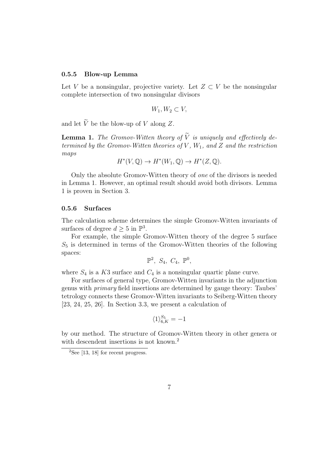#### 0.5.5 Blow-up Lemma

Let V be a nonsingular, projective variety. Let  $Z \subset V$  be the nonsingular complete intersection of two nonsingular divisors

$$
W_1, W_2 \subset V
$$

and let  $\widetilde{V}$  be the blow-up of V along Z.

**Lemma 1.** The Gromov-Witten theory of  $\widetilde{V}$  is uniquely and effectively determined by the Gromov-Witten theories of V,  $W_1$ , and Z and the restriction maps

$$
H^*(V, \mathbb{Q}) \to H^*(W_1, \mathbb{Q}) \to H^*(Z, \mathbb{Q}).
$$

Only the absolute Gromov-Witten theory of one of the divisors is needed in Lemma 1. However, an optimal result should avoid both divisors. Lemma 1 is proven in Section 3.

#### 0.5.6 Surfaces

The calculation scheme determines the simple Gromov-Witten invariants of surfaces of degree  $d \geq 5$  in  $\mathbb{P}^3$ .

For example, the simple Gromov-Witten theory of the degree 5 surface  $S<sub>5</sub>$  is determined in terms of the Gromov-Witten theories of the following spaces:

$$
\mathbb{P}^2, S_4, C_4, \mathbb{P}^0,
$$

where  $S_4$  is a K3 surface and  $C_4$  is a nonsingular quartic plane curve.

For surfaces of general type, Gromov-Witten invariants in the adjunction genus with primary field insertions are determined by gauge theory: Taubes' tetrology connects these Gromov-Witten invariants to Seiberg-Witten theory [23, 24, 25, 26]. In Section 3.3, we present a calculation of

$$
\langle 1 \rangle_{6, K}^{S_5} = -1
$$

by our method. The structure of Gromov-Witten theory in other genera or with descendent insertions is not known.<sup>2</sup>

 $2$ See [13, 18] for recent progress.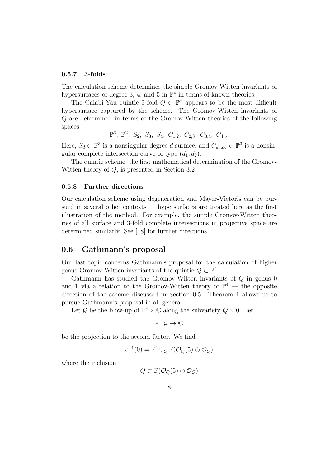#### 0.5.7 3-folds

The calculation scheme determines the simple Gromov-Witten invariants of hypersurfaces of degree 3, 4, and 5 in  $\mathbb{P}^4$  in terms of known theories.

The Calabi-Yau quintic 3-fold  $Q \subset \mathbb{P}^4$  appears to be the most difficult hypersurface captured by the scheme. The Gromov-Witten invariants of Q are determined in terms of the Gromov-Witten theories of the following spaces:

 $\mathbb{P}^3$ ,  $\mathbb{P}^2$ ,  $S_2$ ,  $S_3$ ,  $S_4$ ,  $C_{1,2}$ ,  $C_{2,3}$ ,  $C_{3,4}$ ,  $C_{4,5}$ .

Here,  $S_d \subset \mathbb{P}^3$  is a nonsingular degree d surface, and  $C_{d_1,d_2} \subset \mathbb{P}^3$  is a nonsingular complete intersection curve of type  $(d_1, d_2)$ .

The quintic scheme, the first mathematical determination of the Gromov-Witten theory of Q, is presented in Section 3.2

#### 0.5.8 Further directions

Our calculation scheme using degeneration and Mayer-Vietoris can be pursued in several other contexts — hypersurfaces are treated here as the first illustration of the method. For example, the simple Gromov-Witten theories of all surface and 3-fold complete intersections in projective space are determined similarly. See [18] for further directions.

## 0.6 Gathmann's proposal

Our last topic concerns Gathmann's proposal for the calculation of higher genus Gromov-Witten invariants of the quintic  $Q \subset \mathbb{P}^4$ .

Gathmann has studied the Gromov-Witten invariants of Q in genus 0 and 1 via a relation to the Gromov-Witten theory of  $\mathbb{P}^4$  — the opposite direction of the scheme discussed in Section 0.5. Theorem 1 allows us to pursue Gathmann's proposal in all genera.

Let G be the blow-up of  $\mathbb{P}^4 \times \mathbb{C}$  along the subvariety  $Q \times 0$ . Let

$$
\epsilon:\mathcal{G}\to\mathbb{C}
$$

be the projection to the second factor. We find

$$
\epsilon^{-1}(0) = \mathbb{P}^4 \cup_Q \mathbb{P}(\mathcal{O}_Q(5) \oplus \mathcal{O}_Q)
$$

where the inclusion

$$
Q \subset \mathbb{P}(\mathcal{O}_Q(5) \oplus \mathcal{O}_Q)
$$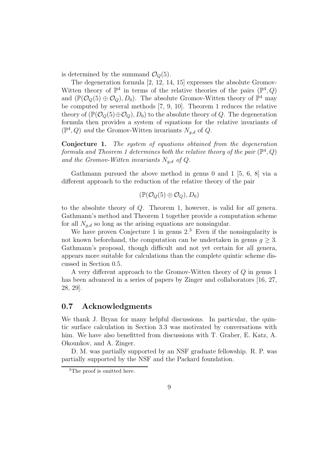is determined by the summand  $\mathcal{O}_Q(5)$ .

The degeneration formula [2, 12, 14, 15] expresses the absolute Gromov-Witten theory of  $\mathbb{P}^4$  in terms of the relative theories of the pairs  $(\mathbb{P}^4, Q)$ and  $(\mathbb{P}(\mathcal{O}_Q(5) \oplus \mathcal{O}_Q), D_0)$ . The absolute Gromov-Witten theory of  $\mathbb{P}^4$  may be computed by several methods [7, 9, 10]. Theorem 1 reduces the relative theory of  $(\mathbb{P}(\mathcal{O}_O(5)\oplus \mathcal{O}_O), D_0)$  to the absolute theory of Q. The degeneration formula then provides a system of equations for the relative invariants of  $(\mathbb{P}^4, Q)$  and the Gromov-Witten invariants  $N_{g,d}$  of Q.

Conjecture 1. The system of equations obtained from the degeneration formula and Theorem 1 determines both the relative theory of the pair  $(\mathbb{P}^4, Q)$ and the Gromov-Witten invariants  $N_{g,d}$  of Q.

Gathmann pursued the above method in genus 0 and 1 [5, 6, 8] via a different approach to the reduction of the relative theory of the pair

$$
(\mathbb{P}(\mathcal{O}_Q(5) \oplus \mathcal{O}_Q), D_0)
$$

to the absolute theory of Q. Theorem 1, however, is valid for all genera. Gathmann's method and Theorem 1 together provide a computation scheme for all  $N_{g,d}$  so long as the arising equations are nonsingular.

We have proven Conjecture 1 in genus  $2^3$  Even if the nonsingularity is not known beforehand, the computation can be undertaken in genus  $q > 3$ . Gathmann's proposal, though difficult and not yet certain for all genera, appears more suitable for calculations than the complete quintic scheme discussed in Section 0.5.

A very different approach to the Gromov-Witten theory of Q in genus 1 has been advanced in a series of papers by Zinger and collaborators [16, 27, 28, 29].

## 0.7 Acknowledgments

We thank J. Bryan for many helpful discussions. In particular, the quintic surface calculation in Section 3.3 was motivated by conversations with him. We have also benefitted from discussions with T. Graber, E. Katz, A. Okounkov, and A. Zinger.

D. M. was partially supported by an NSF graduate fellowship. R. P. was partially supported by the NSF and the Packard foundation.

<sup>3</sup>The proof is omitted here.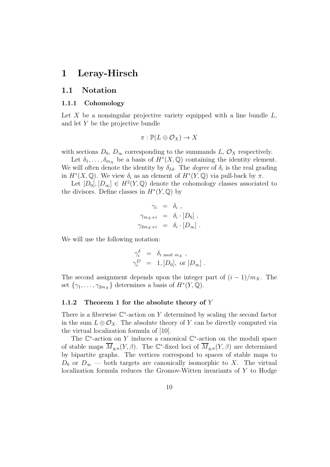# 1 Leray-Hirsch

## 1.1 Notation

#### 1.1.1 Cohomology

Let  $X$  be a nonsingular projective variety equipped with a line bundle  $L$ , and let Y be the projective bundle

$$
\pi: \mathbb{P}(L \oplus \mathcal{O}_X) \to X
$$

with sections  $D_0$ ,  $D_{\infty}$  corresponding to the summands L,  $\mathcal{O}_X$  respectively.

Let  $\delta_1, \ldots, \delta_{m_X}$  be a basis of  $H^*(X, \mathbb{Q})$  containing the identity element. We will often denote the identity by  $\delta_{Id}$ . The *degree* of  $\delta_i$  is the real grading in  $H^*(X, \mathbb{Q})$ . We view  $\delta_i$  as an element of  $H^*(Y, \mathbb{Q})$  via pull-back by  $\pi$ .

Let  $[D_0], [D_\infty] \in H^2(Y, \mathbb{Q})$  denote the cohomology classes associated to the divisors. Define classes in  $H^*(Y, \mathbb{Q})$  by

$$
\gamma_i = \delta_i ,
$$
  
\n
$$
\gamma_{m_X + i} = \delta_i \cdot [D_0] ,
$$
  
\n
$$
\gamma_{2m_X + i} = \delta_i \cdot [D_\infty] .
$$

We will use the following notation:

$$
\begin{array}{rcl}\n\gamma_i^{\delta} & = & \delta_{i \bmod m_X}, \\
\gamma_i^D & = & 1, [D_0], \text{ or } [D_\infty] \,.\n\end{array}
$$

The second assignment depends upon the integer part of  $(i - 1)/m_X$ . The set  $\{\gamma_1, \ldots, \gamma_{2m_X}\}\$  determines a basis of  $H^*(Y, \mathbb{Q})$ .

#### 1.1.2 Theorem 1 for the absolute theory of  $Y$

There is a fiberwise  $\mathbb{C}^*$ -action on Y determined by scaling the second factor in the sum  $L \oplus \mathcal{O}_X$ . The absolute theory of Y can be directly computed via the virtual localization formula of [10].

The  $\mathbb{C}^*$ -action on Y induces a canonical  $\mathbb{C}^*$ -action on the moduli space of stable maps  $\overline{M}_{g,n}(Y,\beta)$ . The C<sup>\*</sup>-fixed loci of  $\overline{M}_{g,n}(Y,\beta)$  are determined by bipartite graphs. The vertices correspond to spaces of stable maps to  $D_0$  or  $D_{\infty}$  — both targets are canonically isomorphic to X. The virtual localization formula reduces the Gromov-Witten invariants of Y to Hodge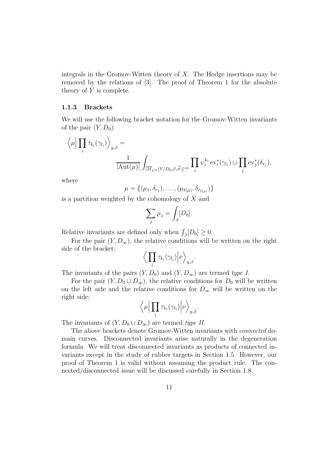integrals in the Gromov-Witten theory of  $X$ . The Hodge insertions may be removed by the relations of [3]. The proof of Theorem 1 for the absolute theory of  $Y$  is complete.

#### 1.1.3 Brackets

We will use the following bracket notation for the Gromov-Witten invariants of the pair  $(Y, D_0)$ :

$$
\left\langle \mu \Big| \prod_i \tau_{k_i}(\gamma_{l_i}) \right\rangle_{g,\beta} = \frac{1}{|\mathrm{Aut}(\mu)|} \int_{[\overline{M}_{g,n}(Y/D_0,\beta,\vec{\mu})]^{\mathrm{vir}}} \prod_i \psi_i^{k_i} \mathrm{ev}_i^*(\gamma_{l_i}) \cup \prod_j \mathrm{ev}_j^*(\delta_{r_j}),
$$

where

$$
\mu = \{(\mu_1, \delta_{r_1}), \ldots, (\mu_{\ell(\mu)}, \delta_{r_{\ell(\mu)}})\}
$$

is a partition weighted by the cohomology of  $X$  and

$$
\sum_j \mu_j = \int_{\beta} [D_0].
$$

Relative invariants are defined only when  $\int_{\beta} [D_0] \geq 0$ .

For the pair  $(Y, D_{\infty})$ , the relative conditions will be written on the right side of the bracket:

$$
\Big\langle \prod_i \tau_{k_i}(\gamma_{l_i}) \Big| \nu \Big\rangle_{g,\beta}.
$$

The invariants of the pairs  $(Y, D_0)$  and  $(Y, D_{\infty})$  are termed type I.

For the pair  $(Y, D_0 \cup D_{\infty})$ , the relative conditions for  $D_0$  will be written on the left side and the relative conditions for  $D_{\infty}$  will be written on the right side:

$$
\Big\langle \mu \Big| \prod_i \tau_{k_i}(\gamma_{l_i}) \Big| \nu \Big\rangle_{g,\beta}.
$$

The invariants of  $(Y, D_0 \cup D_{\infty})$  are termed type II.

The above brackets denote Gromov-Witten invariants with connected domain curves. Disconnected invariants arise naturally in the degeneration formula. We will treat disconnected invariants as products of connected invariants except in the study of rubber targets in Section 1.5. However, our proof of Theorem 1 is valid without assuming the product rule. The connected/disconnected issue will be discussed carefully in Section 1.8.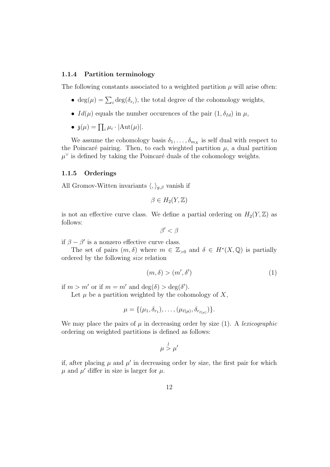#### 1.1.4 Partition terminology

The following constants associated to a weighted partition  $\mu$  will arise often:

- $deg(\mu) = \sum_i deg(\delta_{r_i})$ , the total degree of the cohomology weights,
- $Id(\mu)$  equals the number occurences of the pair  $(1, \delta_{Id})$  in  $\mu$ ,
- $\mathfrak{z}(\mu) = \prod_i \mu_i \cdot |\text{Aut}(\mu)|.$

We assume the cohomology basis  $\delta_1, \ldots, \delta_{m_X}$  is self dual with respect to the Poincaré pairing. Then, to each wieghted partition  $\mu$ , a dual partition  $\mu^{\vee}$  is defined by taking the Poincaré duals of the cohomology weights.

#### 1.1.5 Orderings

All Gromov-Witten invariants  $\langle , \rangle_{g,\beta}$  vanish if

$$
\beta \in H_2(Y, \mathbb{Z})
$$

is not an effective curve class. We define a partial ordering on  $H_2(Y, \mathbb{Z})$  as follows:

 $\beta' < \beta$ 

if  $\beta - \beta'$  is a nonzero effective curve class.

The set of pairs  $(m, \delta)$  where  $m \in \mathbb{Z}_{>0}$  and  $\delta \in H^*(X, \mathbb{Q})$  is partially ordered by the following size relation

$$
(m,\delta) > (m',\delta') \tag{1}
$$

if  $m > m'$  or if  $m = m'$  and  $deg(\delta) > deg(\delta')$ .

Let  $\mu$  be a partition weighted by the cohomology of X,

$$
\mu = \{(\mu_1, \delta_{r_1}), \ldots, (\mu_{\ell(\mu)}, \delta_{r_{\ell(\mu)}})\}.
$$

We may place the pairs of  $\mu$  in decreasing order by size (1). A lexicographic ordering on weighted partitions is defined as follows:

$$
\mu \overset{l}{>} \mu'
$$

if, after placing  $\mu$  and  $\mu'$  in decreasing order by size, the first pair for which  $\mu$  and  $\mu'$  differ in size is larger for  $\mu$ .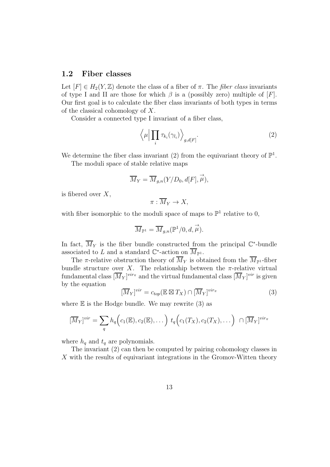### 1.2 Fiber classes

Let  $[F] \in H_2(Y, \mathbb{Z})$  denote the class of a fiber of  $\pi$ . The *fiber class* invariants of type I and II are those for which  $\beta$  is a (possibly zero) multiple of [F]. Our first goal is to calculate the fiber class invariants of both types in terms of the classical cohomology of X.

Consider a connected type I invariant of a fiber class,

$$
\langle \mu \Big| \prod_i \tau_{k_i}(\gamma_{l_i}) \rangle_{g,d[F]}.
$$
 (2)

We determine the fiber class invariant (2) from the equivariant theory of  $\mathbb{P}^1$ .

The moduli space of stable relative maps

$$
\overline{M}_Y = \overline{M}_{g,n}(Y/D_0, d[F], \overrightarrow{\mu}),
$$

is fibered over  $X$ ,

$$
\pi:\overline{M}_Y\to X,
$$

with fiber isomorphic to the moduli space of maps to  $\mathbb{P}^1$  relative to 0,

$$
\overline{M}_{\mathbb{P}^1} = \overline{M}_{g,n}(\mathbb{P}^1/0,d,\overrightarrow{\mu}).
$$

In fact,  $\overline{M}_Y$  is the fiber bundle constructed from the principal  $\mathbb{C}^*$ -bundle associated to L and a standard  $\mathbb{C}^*$ -action on  $\overline{M}_{\mathbb{P}^1}$ .

The  $\pi$ -relative obstruction theory of  $\overline{M}_Y$  is obtained from the  $\overline{M}_{\mathbb{P}^1}$ -fiber bundle structure over X. The relationship between the  $\pi$ -relative virtual fundamental class  $[\overline{M}_Y]^{vir_{\pi}}$  and the virtual fundamental class  $[\overline{M}_Y]^{vir}$  is given by the equation

$$
[\overline{M}_Y]^{vir} = c_{top}(\mathbb{E} \boxtimes T_X) \cap [\overline{M}_Y]^{vir_{\pi}}
$$
\n(3)

where  $E$  is the Hodge bundle. We may rewrite  $(3)$  as

$$
[\overline{M}_Y]^{vir} = \sum_q h_q\Big(c_1(\mathbb{E}), c_2(\mathbb{E}), \dots\Big) t_q\Big(c_1(T_X), c_2(T_X), \dots\Big) \cap [\overline{M}_Y]^{vir_{\pi}}
$$

where  $h_q$  and  $t_q$  are polynomials.

The invariant (2) can then be computed by pairing cohomology classes in X with the results of equivariant integrations in the Gromov-Witten theory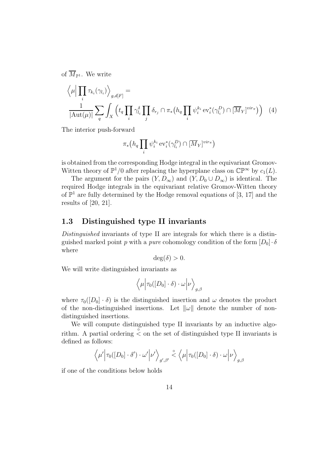of  $\overline{M}_{\mathbb{P}^1}$ . We write

$$
\left\langle \mu \Big| \prod_i \tau_{k_i}(\gamma_{l_i}) \right\rangle_{g,d[F]} = \frac{1}{|\text{Aut}(\mu)|} \sum_q \int_X \left( t_q \prod_i \gamma_{l_i}^{\delta} \prod_j \delta_{r_j} \cap \pi_*(h_q \prod_i \psi_i^{k_i} \text{ev}_i^*(\gamma_{l_i}^D) \cap [\overline{M}_Y]^{vir\pi}) \right) \tag{4}
$$

The interior push-forward

$$
\pi_* \big(h_q \prod_i \psi_i^{k_i} \operatorname{ev}_i^*(\gamma_{l_i}^D) \cap [\overline{M}_Y]^{vir_{\pi}} \big)
$$

is obtained from the corresponding Hodge integral in the equivariant Gromov-Witten theory of  $\mathbb{P}^1/0$  after replacing the hyperplane class on  $\mathbb{CP}^{\infty}$  by  $c_1(L)$ .

The argument for the pairs  $(Y, D_{\infty})$  and  $(Y, D_0 \cup D_{\infty})$  is identical. The required Hodge integrals in the equivariant relative Gromov-Witten theory of  $\mathbb{P}^1$  are fully determined by the Hodge removal equations of [3, 17] and the results of [20, 21].

## 1.3 Distinguished type II invariants

Distinguished invariants of type II are integrals for which there is a distinguished marked point p with a pure cohomology condition of the form  $[D_0]\cdot\delta$ where

$$
\deg(\delta) > 0.
$$

We will write distinguished invariants as

$$
\langle \mu | \tau_0([D_0] \cdot \delta) \cdot \omega | \nu \rangle_{g,\beta}
$$

where  $\tau_0([D_0] \cdot \delta)$  is the distinguished insertion and  $\omega$  denotes the product of the non-distinguished insertions. Let  $\|\omega\|$  denote the number of nondistinguished insertions.

We will compute distinguished type II invariants by an inductive algorithm. A partial ordering  $\leq$  on the set of distinguished type II invariants is defined as follows:

$$
\langle \mu' | \tau_0([D_0] \cdot \delta') \cdot \omega' | \nu' \rangle_{g',\beta'} \stackrel{\circ}{\lt} \langle \mu | \tau_0([D_0] \cdot \delta) \cdot \omega | \nu \rangle_{g,\beta}
$$

if one of the conditions below holds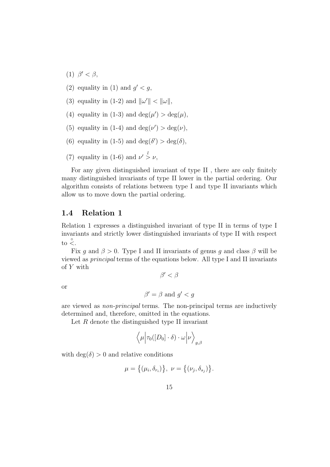- (1)  $\beta' < \beta$ ,
- (2) equality in (1) and  $g' < g$ ,
- (3) equality in (1-2) and  $\|\omega'\| < \|\omega\|$ ,
- (4) equality in (1-3) and  $deg(\mu') > deg(\mu)$ ,
- (5) equality in (1-4) and  $\deg(\nu') > \deg(\nu)$ ,
- (6) equality in (1-5) and  $deg(\delta') > deg(\delta)$ ,
- (7) equality in (1-6) and  $\nu' > \nu$ ,

For any given distinguished invariant of type II , there are only finitely many distinguished invariants of type II lower in the partial ordering. Our algorithm consists of relations between type I and type II invariants which allow us to move down the partial ordering.

## 1.4 Relation 1

Relation 1 expresses a distinguished invariant of type II in terms of type I invariants and strictly lower distinguished invariants of type II with respect to  $\stackrel{\circ}{\leq}$ .

Fix g and  $\beta > 0$ . Type I and II invariants of genus g and class  $\beta$  will be viewed as principal terms of the equations below. All type I and II invariants of Y with

 $\beta' < \beta$ 

or

$$
\beta' = \beta \text{ and } g' < g
$$

are viewed as non-principal terms. The non-principal terms are inductively determined and, therefore, omitted in the equations.

Let  $R$  denote the distinguished type II invariant

$$
\langle \mu | \tau_0([D_0] \cdot \delta) \cdot \omega | \nu \rangle_{g,\beta}
$$

with  $deg(\delta) > 0$  and relative conditions

$$
\mu = \big\{ (\mu_i, \delta_{r_i}) \big\}, \ \nu = \big\{ (\nu_j, \delta_{s_j}) \big\}.
$$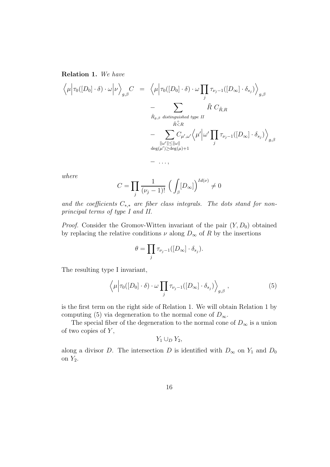Relation 1. We have

$$
\langle \mu | \tau_0([D_0] \cdot \delta) \cdot \omega | \nu \rangle_{g,\beta} C = \langle \mu | \tau_0([D_0] \cdot \delta) \cdot \omega \prod_j \tau_{\nu_j - 1}([D_{\infty}] \cdot \delta_{s_j}) \rangle_{g,\beta}
$$
  

$$
- \sum_{\substack{\tilde{R}_{g,\beta \text{ distinguished type } II}} \\ \tilde{R} \stackrel{\tilde{c}}{\sim} R}} \tilde{R} C_{\tilde{R},R}
$$
  

$$
- \sum_{\substack{\|\omega'\| \le \|\omega\| \\ \deg(\mu') \ge \deg(\mu) + 1}} C_{\mu',\omega'} \langle \mu' | \omega' \prod_j \tau_{\nu_j - 1}([D_{\infty}] \cdot \delta_{s_j}) \rangle_{g,\beta}
$$

where

$$
C = \prod_{j} \frac{1}{(\nu_j - 1)!} \left( \int_{\beta} [D_{\infty}] \right)^{Id(\nu)} \neq 0
$$

and the coefficients  $C_{*,*}$  are fiber class integrals. The dots stand for nonprincipal terms of type I and II.

*Proof.* Consider the Gromov-Witten invariant of the pair  $(Y, D_0)$  obtained by replacing the relative conditions  $\nu$  along  $D_{\infty}$  of R by the insertions

$$
\theta = \prod_j \tau_{\nu_j - 1}([D_{\infty}] \cdot \delta_{s_j}).
$$

The resulting type I invariant,

$$
\left\langle \mu \Big| \tau_0([D_0] \cdot \delta) \cdot \omega \prod_j \tau_{\nu_j - 1}([D_\infty] \cdot \delta_{s_j}) \right\rangle_{g, \beta}, \qquad (5)
$$

is the first term on the right side of Relation 1. We will obtain Relation 1 by computing (5) via degeneration to the normal cone of  $D_{\infty}$ .

The special fiber of the degeneration to the normal cone of  $D_{\infty}$  is a union of two copies of  $Y$ ,

 $Y_1 \cup_D Y_2$ 

along a divisor D. The intersection D is identified with  $D_{\infty}$  on  $Y_1$  and  $D_0$ on  $Y_2$ .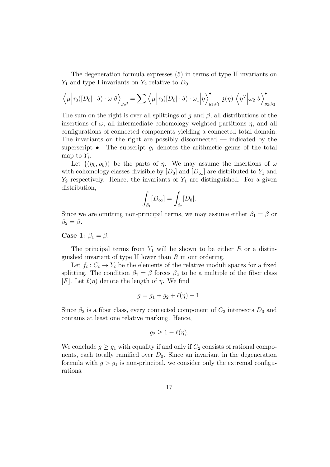The degeneration formula expresses (5) in terms of type II invariants on  $Y_1$  and type I invariants on  $Y_2$  relative to  $D_0$ :

$$
\left\langle \mu \middle| \tau_0([D_0] \cdot \delta) \cdot \omega \theta \right\rangle_{g,\beta} = \sum \left\langle \mu \middle| \tau_0([D_0] \cdot \delta) \cdot \omega_1 \middle| \eta \right\rangle_{g_1,\beta_1}^{\bullet} \mathfrak{z}(\eta) \left\langle \eta^{\vee} \middle| \omega_2 \theta \right\rangle_{g_2,\beta_2}^{\bullet}
$$

The sum on the right is over all splittings of g and  $\beta$ , all distributions of the insertions of  $\omega$ , all intermediate cohomology weighted partitions  $\eta$ , and all configurations of connected components yielding a connected total domain. The invariants on the right are possibly disconnected — indicated by the superscript  $\bullet$ . The subscript  $g_i$  denotes the arithmetic genus of the total map to  $Y_i$ .

Let  $\{(\eta_k, \rho_k)\}\$ be the parts of  $\eta$ . We may assume the insertions of  $\omega$ with cohomology classes divisible by  $[D_0]$  and  $[D_\infty]$  are distributed to  $Y_1$  and  $Y_2$  respectively. Hence, the invariants of  $Y_1$  are distinguished. For a given distribution,

$$
\int_{\beta_1} [D_{\infty}] = \int_{\beta_2} [D_0].
$$

Since we are omitting non-principal terms, we may assume either  $\beta_1 = \beta$  or  $\beta_2 = \beta$ .

Case 1:  $\beta_1 = \beta$ .

The principal terms from  $Y_1$  will be shown to be either R or a distinguished invariant of type II lower than  $R$  in our ordering.

Let  $f_i: C_i \to Y_i$  be the elements of the relative moduli spaces for a fixed splitting. The condition  $\beta_1 = \beta$  forces  $\beta_2$  to be a multiple of the fiber class [F]. Let  $\ell(\eta)$  denote the length of  $\eta$ . We find

$$
g = g_1 + g_2 + \ell(\eta) - 1.
$$

Since  $\beta_2$  is a fiber class, every connected component of  $C_2$  intersects  $D_0$  and contains at least one relative marking. Hence,

$$
g_2 \geq 1 - \ell(\eta).
$$

We conclude  $g \geq g_1$  with equality if and only if  $C_2$  consists of rational components, each totally ramified over  $D_0$ . Since an invariant in the degeneration formula with  $g > g_1$  is non-principal, we consider only the extremal configurations.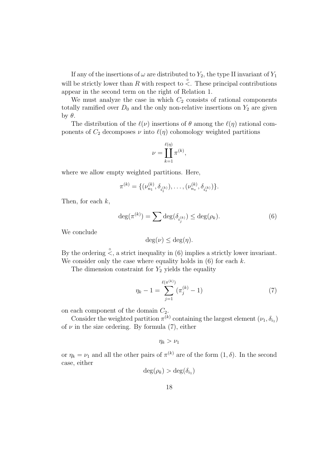If any of the insertions of  $\omega$  are distributed to  $Y_2$ , the type II invariant of  $Y_1$ will be strictly lower than R with respect to  $\stackrel{\circ}{\le}$ . These principal contributions appear in the second term on the right of Relation 1.

We must analyze the case in which  $C_2$  consists of rational components totally ramified over  $D_0$  and the only non-relative insertions on  $Y_2$  are given by  $θ$ .

The distribution of the  $\ell(\nu)$  insertions of  $\theta$  among the  $\ell(\eta)$  rational components of  $C_2$  decomposes  $\nu$  into  $\ell(\eta)$  cohomology weighted partitions

$$
\nu = \prod_{k=1}^{\ell(\eta)} \pi^{(k)},
$$

where we allow empty weighted partitions. Here,

$$
\pi^{(k)} = \{ (\nu_{n_1}^{(k)}, \delta_{i_1^{(k)}}), \ldots, (\nu_{n_s}^{(k)}, \delta_{i_s^{(k)}}) \}.
$$

Then, for each  $k$ ,

$$
\deg(\pi^{(k)}) = \sum \deg(\delta_{i_j^{(k)}}) \le \deg(\rho_k). \tag{6}
$$

We conclude

$$
\deg(\nu) \le \deg(\eta).
$$

By the ordering  $\stackrel{\circ}{\le}$ , a strict inequality in (6) implies a strictly lower invariant. We consider only the case where equality holds in  $(6)$  for each  $k$ .

The dimension constraint for  $Y_2$  yields the equality

$$
\eta_k - 1 = \sum_{j=1}^{\ell(\pi^{(k)})} (\pi_j^{(k)} - 1) \tag{7}
$$

on each component of the domain  $C_2$ .

Consider the weighted partition  $\pi^{(k)}$  containing the largest element  $(\nu_1, \delta_{i_1})$ of  $\nu$  in the size ordering. By formula (7), either

$$
\eta_k>\nu_1
$$

or  $\eta_k = \nu_1$  and all the other pairs of  $\pi^{(k)}$  are of the form  $(1, \delta)$ . In the second case, either

$$
\deg(\rho_k) > \deg(\delta_{i_1})
$$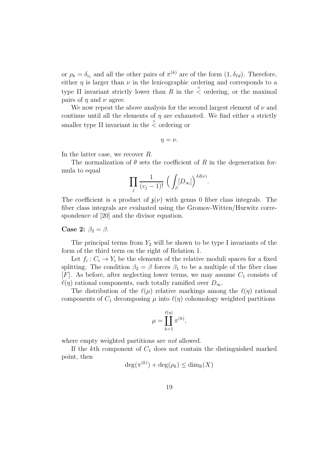or  $\rho_k = \delta_{i_1}$  and all the other pairs of  $\pi^{(k)}$  are of the form  $(1, \delta_{Id})$ . Therefore, either  $\eta$  is larger than  $\nu$  in the lexicographic ordering and corresponds to a type II invariant strictly lower than R in the  $\stackrel{\circ}{\le}$  ordering, or the maximal pairs of  $\eta$  and  $\nu$  agree.

We now repeat the above analysis for the second largest element of  $\nu$  and continue until all the elements of  $\eta$  are exhausted. We find either a strictly smaller type II invariant in the  $\stackrel{\circ}{\le}$  ordering or

 $\eta = \nu$ .

In the latter case, we recover R.

The normalization of  $\theta$  sets the coefficient of R in the degeneration formula to equal

$$
\prod_j \frac{1}{(v_j-1)!} \; \Big( \int_\beta [D_\infty] \Big)^{Id(\nu)}.
$$

The coefficient is a product of  $\mathfrak{z}(\nu)$  with genus 0 fiber class integrals. The fiber class integrals are evaluated using the Gromov-Witten/Hurwitz correspondence of [20] and the divisor equation.

### Case 2:  $\beta_2 = \beta$ .

The principal terms from  $Y_2$  will be shown to be type I invariants of the form of the third term on the right of Relation 1.

Let  $f_i: C_i \to Y_i$  be the elements of the relative moduli spaces for a fixed splitting. The condition  $\beta_2 = \beta$  forces  $\beta_1$  to be a multiple of the fiber class  $[F]$ . As before, after neglecting lower terms, we may assume  $C_1$  consists of  $\ell(\eta)$  rational components, each totally ramified over  $D_{\infty}$ .

The distribution of the  $\ell(\mu)$  relative markings among the  $\ell(\eta)$  rational components of  $C_1$  decomposing  $\mu$  into  $\ell(\eta)$  cohomology weighted partitions

$$
\mu = \prod_{k=1}^{\ell(\eta)} \pi^{(k)},
$$

where empty weighted partitions are *not* allowed.

If the kth component of  $C_1$  does not contain the distinguished marked point, then

$$
\deg(\pi^{(k)}) + \deg(\rho_k) \le \dim_{\mathbb{R}}(X)
$$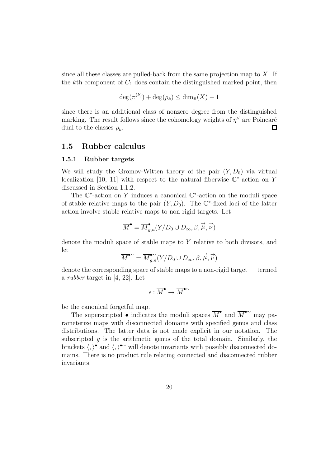since all these classes are pulled-back from the same projection map to  $X$ . If the kth component of  $C_1$  does contain the distinguished marked point, then

$$
\deg(\pi^{(k)}) + \deg(\rho_k) \le \dim_{\mathbb{R}}(X) - 1
$$

since there is an additional class of nonzero degree from the distinguished marking. The result follows since the cohomology weights of  $\eta^{\vee}$  are Poincaré dual to the classes  $\rho_k$ . 口

### 1.5 Rubber calculus

#### 1.5.1 Rubber targets

We will study the Gromov-Witten theory of the pair  $(Y, D_0)$  via virtual localization [10, 11] with respect to the natural fiberwise  $\mathbb{C}^*$ -action on Y discussed in Section 1.1.2.

The  $\mathbb{C}^*$ -action on Y induces a canonical  $\mathbb{C}^*$ -action on the moduli space of stable relative maps to the pair  $(Y, D_0)$ . The  $\mathbb{C}^*$ -fixed loci of the latter action involve stable relative maps to non-rigid targets. Let

$$
\overline{M}^{\bullet} = \overline{M}_{g,n}^{\bullet}(Y/D_0 \cup D_{\infty}, \beta, \overrightarrow{\mu}, \overrightarrow{\nu})
$$

denote the moduli space of stable maps to  $Y$  relative to both divisors, and let

$$
\overline{M}^{\bullet \sim} = \overline{M}_{g,n}^{\bullet \sim}(Y/D_0 \cup D_{\infty}, \beta, \overrightarrow{\mu}, \overrightarrow{\nu})
$$

denote the corresponding space of stable maps to a non-rigid target — termed a rubber target in [4, 22]. Let

$$
\epsilon:\overline{M}^{\bullet}\rightarrow\overline{M}^{\bullet\sim}
$$

be the canonical forgetful map.

The superscripted • indicates the moduli spaces  $\overline{M}^{\bullet}$  and  $\overline{M}^{\bullet}^{\sim}$  may parameterize maps with disconnected domains with specified genus and class distributions. The latter data is not made explicit in our notation. The subscripted  $q$  is the arithmetic genus of the total domain. Similarly, the brackets  $\langle, \rangle^{\bullet}$  and  $\langle, \rangle^{\bullet}$  will denote invariants with possibly disconnected domains. There is no product rule relating connected and disconnected rubber invariants.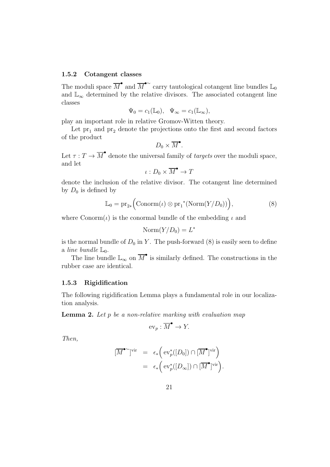#### 1.5.2 Cotangent classes

The moduli space  $\overline{M}^{\bullet}$  and  $\overline{M}^{\bullet}$  carry tautological cotangent line bundles  $\mathbb{L}_0$ and  $\mathbb{L}_{\infty}$  determined by the relative divisors. The associated cotangent line classes

$$
\Psi_0 = c_1(\mathbb{L}_0), \quad \Psi_\infty = c_1(\mathbb{L}_\infty),
$$

play an important role in relative Gromov-Witten theory.

Let  $pr_1$  and  $pr_2$  denote the projections onto the first and second factors of the product

$$
D_0\times \overline{M}^{\bullet}.
$$

Let  $\tau: T \to \overline{M}^{\bullet}$  denote the universal family of *targets* over the moduli space, and let

$$
\iota:D_0\times\overline{M}^\bullet\to T
$$

denote the inclusion of the relative divisor. The cotangent line determined by  $D_0$  is defined by

$$
\mathbb{L}_0 = \text{pr}_{2*} \Big( \text{Conorm}(\iota) \otimes \text{pr}_1^*(\text{Norm}(Y/D_0)) \Big), \tag{8}
$$

where  $\text{Conorm}(\iota)$  is the conormal bundle of the embedding  $\iota$  and

$$
\mathrm{Norm}(Y/D_0) = L^*
$$

is the normal bundle of  $D_0$  in Y. The push-forward (8) is easily seen to define a line bundle  $\mathbb{L}_0$ .

The line bundle  $\mathbb{L}_{\infty}$  on  $\overline{M}^{\bullet}$  is similarly defined. The constructions in the rubber case are identical.

#### 1.5.3 Rigidification

The following rigidification Lemma plays a fundamental role in our localization analysis.

**Lemma 2.** Let  $p$  be a non-relative marking with evaluation map

$$
\mathrm{ev}_p:\overline{M}^\bullet\to Y.
$$

Then,

$$
\begin{array}{rcl}\n[\overline{M}^{\bullet}{}^{\sim}]^{\text{vir}} & = & \epsilon_* \Big( \operatorname{ev}_p^*([D_0]) \cap [\overline{M}^{\bullet}]^{\text{vir}} \Big) \\
& = & \epsilon_* \Big( \operatorname{ev}_p^*([D_{\infty}]) \cap [\overline{M}^{\bullet}]^{\text{vir}} \Big). \n\end{array}
$$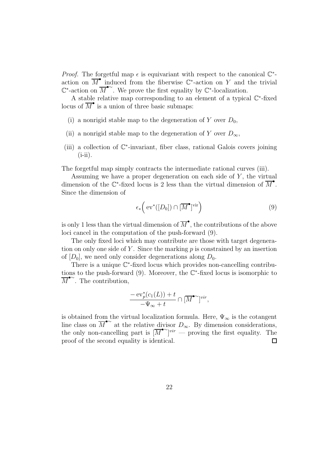*Proof.* The forgetful map  $\epsilon$  is equivariant with respect to the canonical  $\mathbb{C}^*$ action on  $\overline{M}^{\bullet}$  induced from the fiberwise  $\mathbb{C}^*$ -action on Y and the trivial  $\mathbb{C}^*$ -action on  $\overline{M}^{\bullet\sim}$ . We prove the first equality by  $\mathbb{C}^*$ -localization.

A stable relative map corresponding to an element of a typical  $\mathbb{C}^*$ -fixed locus of  $\overline{M}^{\bullet}$  is a union of three basic submaps:

- (i) a nonrigid stable map to the degeneration of Y over  $D_0$ ,
- (ii) a nonrigid stable map to the degeneration of Y over  $D_{\infty}$ ,
- (iii) a collection of C ∗ -invariant, fiber class, rational Galois covers joining  $(i$ -ii).

The forgetful map simply contracts the intermediate rational curves (iii).

Assuming we have a proper degeneration on each side of  $Y$ , the virtual dimension of the  $\mathbb{C}^*$ -fixed locus is 2 less than the virtual dimension of  $\overline{M}^{\bullet}$ . Since the dimension of

$$
\epsilon_* \left( \operatorname{ev}^* ([D_0]) \cap [\overline{M}^\bullet]^{\text{vir}} \right) \tag{9}
$$

is only 1 less than the virtual dimension of  $\overline{M}^{\bullet}$ , the contributions of the above loci cancel in the computation of the push-forward (9).

The only fixed loci which may contribute are those with target degeneration on only one side of Y. Since the marking  $p$  is constrained by an insertion of  $[D_0]$ , we need only consider degenerations along  $D_0$ .

There is a unique  $\mathbb{C}^*$ -fixed locus which provides non-cancelling contributions to the push-forward  $(9)$ . Moreover, the  $\mathbb{C}^*$ -fixed locus is isomorphic to  $\overline{M}^{\bullet}$ <sup>~</sup>. The contribution,

$$
\frac{-\operatorname{ev}_p^*(c_1(L))+t}{-\Psi_\infty+t}\cap [\overline{M}^{\bullet\sim}]^{vir},
$$

is obtained from the virtual localization formula. Here,  $\Psi_{\infty}$  is the cotangent line class on  $\overline{M}^{\bullet\sim}$  at the relative divisor  $D_{\infty}$ . By dimension considerations, the only non-cancelling part is  $\overline{M}^{\bullet \sim}$   $\overline{V}^{\bullet \sim}$  proving the first equality. The proof of the second equality is identical.  $\Box$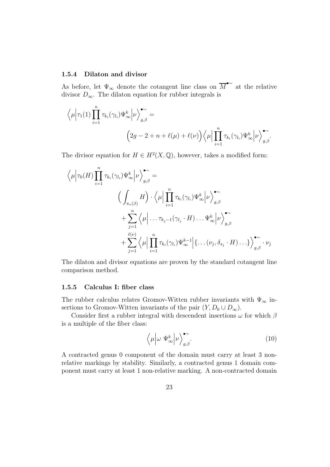#### 1.5.4 Dilaton and divisor

As before, let  $\Psi_{\infty}$  denote the cotangent line class on  $\overline{M}^{\bullet\sim}$  at the relative divisor  $D_{\infty}$ . The dilaton equation for rubber integrals is

$$
\left\langle \mu \middle| \tau_1(1) \prod_{i=1}^n \tau_{k_i}(\gamma_{l_i}) \Psi_{\infty}^k \middle| \nu \right\rangle_{g,\beta}^{\bullet \sim} =
$$
\n
$$
\left( 2g - 2 + n + \ell(\mu) + \ell(\nu) \right) \left\langle \mu \middle| \prod_{i=1}^n \tau_{k_i}(\gamma_{l_i}) \Psi_{\infty}^k \middle| \nu \right\rangle_{g,\beta}^{\bullet \sim}.
$$

The divisor equation for  $H \in H^2(X, \mathbb{Q})$ , however, takes a modified form:

$$
\langle \mu | \tau_0(H) \prod_{i=1}^n \tau_{k_i}(\gamma_{l_i}) \Psi_{\infty}^k | \nu \rangle_{g,\beta}^{\bullet} =
$$
\n
$$
\left( \int_{\pi_*(\beta)} H \right) \cdot \langle \mu | \prod_{i=1}^n \tau_{k_i}(\gamma_{l_i}) \Psi_{\infty}^k | \nu \rangle_{g,\beta}^{\bullet} + \sum_{j=1}^n \langle \mu | \dots \tau_{k_j-1}(\gamma_{l_j} \cdot H) \dots \Psi_{\infty}^k | \nu \rangle_{g,\beta}^{\bullet} + \sum_{j=1}^{\ell(\nu)} \langle \mu | \prod_{i=1}^n \tau_{k_i}(\gamma_{l_i}) \Psi_{\infty}^{k-1} | \{ \dots (\nu_j, \delta_{s_j} \cdot H) \dots \} \rangle_{g,\beta}^{\bullet} \cdot \nu_j
$$

The dilaton and divisor equations are proven by the standard cotangent line comparison method.

#### 1.5.5 Calculus I: fiber class

The rubber calculus relates Gromov-Witten rubber invariants with  $\Psi_{\infty}$  insertions to Gromov-Witten invariants of the pair  $(Y, D_0 \cup D_\infty)$ .

Consider first a rubber integral with descendent insertions  $\omega$  for which  $\beta$ is a multiple of the fiber class:

$$
\left\langle \mu \middle| \omega \Psi_{\infty}^{k} \middle| \nu \right\rangle_{g,\beta}^{\bullet \sim}.
$$
\n(10)

A contracted genus 0 component of the domain must carry at least 3 nonrelative markings by stability. Similarly, a contracted genus 1 domain component must carry at least 1 non-relative marking. A non-contracted domain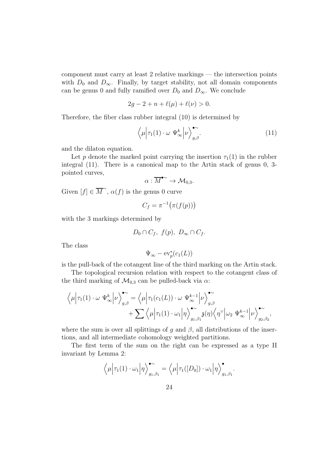component must carry at least 2 relative markings — the intersection points with  $D_0$  and  $D_{\infty}$ . Finally, by target stability, not all domain components can be genus 0 and fully ramified over  $D_0$  and  $D_{\infty}$ . We conclude

$$
2g - 2 + n + \ell(\mu) + \ell(\nu) > 0.
$$

Therefore, the fiber class rubber integral (10) is determined by

$$
\left\langle \mu \middle| \tau_1(1) \cdot \omega \Psi_\infty^k \middle| \nu \right\rangle_{g,\beta}^{\bullet \sim} . \tag{11}
$$

and the dilaton equation.

Let p denote the marked point carrying the insertion  $\tau_1(1)$  in the rubber integral (11). There is a canonical map to the Artin stack of genus 0, 3 pointed curves,

$$
\alpha:\overline{M}^{\bullet\sim}\to\mathcal{M}_{0,3}.
$$

Given  $[f] \in \overline{M}^{\sim}$ ,  $\alpha(f)$  is the genus 0 curve

$$
C_f = \pi^{-1}(\pi(f(p)))
$$

with the 3 markings determined by

$$
D_0 \cap C_f, \ f(p), \ D_{\infty} \cap C_f.
$$

The class

$$
\Psi_{\infty}-\operatorname{ev}_p^*(c_1(L))
$$

is the pull-back of the cotangent line of the third marking on the Artin stack.

The topological recursion relation with respect to the cotangent class of the third marking of  $\mathcal{M}_{0,3}$  can be pulled-back via  $\alpha$ :

$$
\left\langle \mu \middle| \tau_1(1) \cdot \omega \Psi_{\infty}^k \middle| \nu \right\rangle_{g,\beta}^{\bullet \sim} = \left\langle \mu \middle| \tau_1(c_1(L)) \cdot \omega \Psi_{\infty}^{k-1} \middle| \nu \right\rangle_{g,\beta}^{\bullet \sim} + \sum \left\langle \mu \middle| \tau_1(1) \cdot \omega_1 \middle| \eta \right\rangle_{g_1,\beta_1}^{\bullet \sim} \mathfrak{z}(\eta) \left\langle \eta^{\vee} \middle| \omega_2 \Psi_{\infty}^{k-1} \middle| \nu \right\rangle_{g_2,\beta_2}^{\bullet \sim},
$$

where the sum is over all splittings of g and  $\beta$ , all distributions of the insertions, and all intermediate cohomology weighted partitions.

The first term of the sum on the right can be expressed as a type II invariant by Lemma 2:

$$
\langle \mu | \tau_1(1) \cdot \omega_1 | \eta \rangle_{g_1, \beta_1}^{\bullet} = \langle \mu | \tau_1([D_0]) \cdot \omega_1 | \eta \rangle_{g_1, \beta_1}^{\bullet}.
$$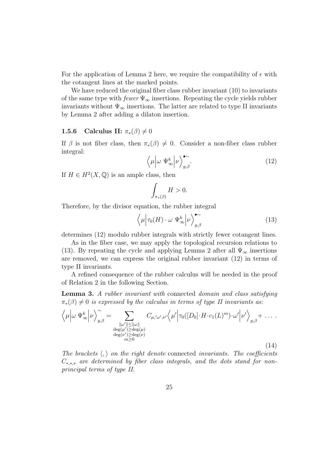For the application of Lemma 2 here, we require the compatibility of  $\epsilon$  with the cotangent lines at the marked points.

We have reduced the original fiber class rubber invariant (10) to invariants of the same type with  $fewer \Psi_{\infty}$  insertions. Repeating the cycle yields rubber invariants without  $\Psi_{\infty}$  insertions. The latter are related to type II invariants by Lemma 2 after adding a dilaton insertion.

#### 1.5.6 Calculus II:  $\pi_*(\beta) \neq 0$

If  $\beta$  is not fiber class, then  $\pi_*(\beta) \neq 0$ . Consider a non-fiber class rubber integral:

$$
\left\langle \mu \middle| \omega \Psi_{\infty}^{k} \middle| \nu \right\rangle_{g,\beta}^{\bullet \sim} . \tag{12}
$$

If  $H \in H^2(X, \mathbb{Q})$  is an ample class, then

$$
\int_{\pi_*(\beta)} H > 0.
$$

Therefore, by the divisor equation, the rubber integral

$$
\left\langle \mu \middle| \tau_0(H) \cdot \omega \Psi_\infty^k \middle| \nu \right\rangle_{g,\beta}^{\bullet \sim} \tag{13}
$$

determines (12) modulo rubber integrals with strictly fewer cotangent lines.

As in the fiber case, we may apply the topological recursion relations to (13). By repeating the cycle and applying Lemma 2 after all  $\Psi_{\infty}$  insertions are removed, we can express the original rubber invariant (12) in terms of type II invariants.

A refined consequence of the rubber calculus will be needed in the proof of Relation 2 in the following Section.

Lemma 3. A rubber invariant with connected domain and class satisfying  $\pi_*(\beta) \neq 0$  is expressed by the calculus in terms of type II invariants as:

$$
\left\langle \mu \middle| \omega \Psi_{\infty}^{k} \middle| \nu \right\rangle_{g,\beta}^{\sim} = \sum_{\substack{\|\omega'\| \le \|\omega\|\\ \deg(\mu') \ge \deg(\mu) \\ \deg(\nu') \ge \deg(\nu) \\ m \ge 0}} C_{\mu,\omega',\nu'} \left\langle \mu' \middle| \tau_0([D_0] \cdot H \cdot c_1(L)^m) \cdot \omega' \middle| \nu' \right\rangle_{g,\beta} + \dots \, .
$$
\n(14)

The brackets  $\langle , \rangle$  on the right denote connected invariants. The coefficients  $C_{*,*,*}$  are determined by fiber class integrals, and the dots stand for nonprincipal terms of type II.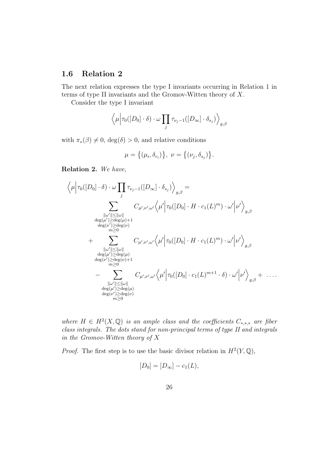## 1.6 Relation 2

The next relation expresses the type I invariants occurring in Relation 1 in terms of type II invariants and the Gromov-Witten theory of X.

Consider the type I invariant

$$
\langle \mu | \tau_0([D_0] \cdot \delta) \cdot \omega \prod_j \tau_{\nu_j - 1}([D_{\infty}] \cdot \delta_{s_j}) \rangle_{g, \beta}
$$

with  $\pi_*(\beta) \neq 0$ , deg( $\delta$ ) > 0, and relative conditions

$$
\mu = \big\{ (\mu_i, \delta_{r_i}) \big\}, \ \nu = \big\{ (\nu_j, \delta_{s_j}) \big\}.
$$

Relation 2. We have,

$$
\langle \mu | \tau_0([D_0] \cdot \delta) \cdot \omega \prod_j \tau_{\nu_j - 1}([D_{\infty}] \cdot \delta_{s_j}) \rangle_{g,\beta} =
$$
\n
$$
\sum_{\substack{||\omega'|| \le ||\omega|| \\ \deg(\mu') \ge \deg(\mu) + 1 \\ \deg(\nu') \ge \deg(\nu) \\ m \ge 0}} C_{\mu',\nu',\omega'} \langle \mu' | \tau_0([D_0] \cdot H \cdot c_1(L)^m) \cdot \omega' | \nu' \rangle_{g,\beta}
$$
\n
$$
+ \sum_{\substack{||\omega'|| \le ||\omega|| \\ \deg(\mu') \ge \deg(\mu) \\ m \ge 0}} C_{\mu',\nu',\omega'} \langle \mu' | \tau_0([D_0] \cdot H \cdot c_1(L)^m) \cdot \omega' | \nu' \rangle_{g,\beta}
$$
\n
$$
- \sum_{\substack{||\omega'|| \le ||\omega|| \\ m \ge 0 \\ \deg(\mu') \ge \deg(\mu) \\ \deg(\nu') \ge \deg(\mu) \\ m \ge 0}} C_{\mu',\nu',\omega'} \langle \mu' | \tau_0([D_0] \cdot c_1(L)^{m+1} \cdot \delta) \cdot \omega' | \nu' \rangle_{g,\beta} + \dots
$$

where  $H \in H^2(X, \mathbb{Q})$  is an ample class and the coefficients  $C_{*,*,*}$  are fiber class integrals. The dots stand for non-principal terms of type II and integrals in the Gromov-Witten theory of X

*Proof.* The first step is to use the basic divisor relation in  $H^2(Y, \mathbb{Q})$ ,

$$
[D_0] = [D_\infty] - c_1(L),
$$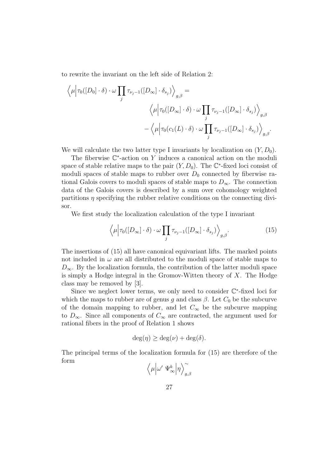to rewrite the invariant on the left side of Relation 2:

$$
\langle \mu | \tau_0([D_0] \cdot \delta) \cdot \omega \prod_j \tau_{\nu_j - 1}([D_{\infty}] \cdot \delta_{s_j}) \rangle_{g,\beta} =
$$
  

$$
\langle \mu | \tau_0([D_{\infty}] \cdot \delta) \cdot \omega \prod_j \tau_{\nu_j - 1}([D_{\infty}] \cdot \delta_{s_j}) \rangle_{g,\beta}
$$
  

$$
- \langle \mu | \tau_0(c_1(L) \cdot \delta) \cdot \omega \prod_j \tau_{\nu_j - 1}([D_{\infty}] \cdot \delta_{s_j}) \rangle_{g,\beta}.
$$

We will calculate the two latter type I invariants by localization on  $(Y, D_0)$ .

The fiberwise  $\mathbb{C}^*$ -action on Y induces a canonical action on the moduli space of stable relative maps to the pair  $(Y, D_0)$ . The  $\mathbb{C}^*$ -fixed loci consist of moduli spaces of stable maps to rubber over  $D_0$  connected by fiberwise rational Galois covers to moduli spaces of stable maps to  $D_{\infty}$ . The connection data of the Galois covers is described by a sum over cohomology weighted partitions  $\eta$  specifying the rubber relative conditions on the connecting divisor.

We first study the localization calculation of the type I invariant

$$
\left\langle \mu \Big| \tau_0([D_\infty] \cdot \delta) \cdot \omega \prod_j \tau_{\nu_j - 1}([D_\infty] \cdot \delta_{s_j}) \right\rangle_{g, \beta}.
$$
 (15)

The insertions of (15) all have canonical equivariant lifts. The marked points not included in  $\omega$  are all distributed to the moduli space of stable maps to  $D_{\infty}$ . By the localization formula, the contribution of the latter moduli space is simply a Hodge integral in the Gromov-Witten theory of  $X$ . The Hodge class may be removed by [3].

Since we neglect lower terms, we only need to consider  $\mathbb{C}^*$ -fixed loci for which the maps to rubber are of genus g and class  $\beta$ . Let  $C_0$  be the subcurve of the domain mapping to rubber, and let  $C_{\infty}$  be the subcurve mapping to  $D_{\infty}$ . Since all components of  $C_{\infty}$  are contracted, the argument used for rational fibers in the proof of Relation 1 shows

$$
\deg(\eta) \ge \deg(\nu) + \deg(\delta).
$$

The principal terms of the localization formula for (15) are therefore of the form

$$
\Big\langle \mu \Big| \omega' \ \Psi_\infty^k \Big| \eta \Big\rangle_{g,\beta}^\sim
$$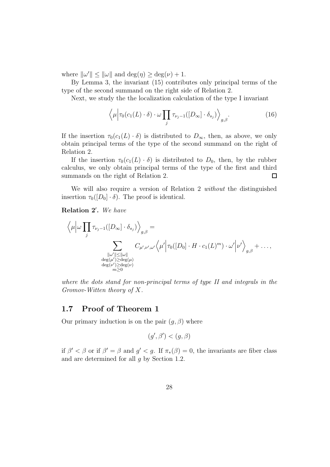where  $\|\omega'\| \leq \|\omega\|$  and  $\deg(\eta) \geq \deg(\nu) + 1$ .

By Lemma 3, the invariant (15) contributes only principal terms of the type of the second summand on the right side of Relation 2.

Next, we study the the localization calculation of the type I invariant

$$
\left\langle \mu \middle| \tau_0(c_1(L) \cdot \delta) \cdot \omega \prod_j \tau_{\nu_j - 1}([D_{\infty}] \cdot \delta_{s_j}) \right\rangle_{g,\beta}.
$$
 (16)

If the insertion  $\tau_0(c_1(L) \cdot \delta)$  is distributed to  $D_{\infty}$ , then, as above, we only obtain principal terms of the type of the second summand on the right of Relation 2.

If the insertion  $\tau_0(c_1(L) \cdot \delta)$  is distributed to  $D_0$ , then, by the rubber calculus, we only obtain principal terms of the type of the first and third summands on the right of Relation 2. □

We will also require a version of Relation 2 without the distinguished insertion  $\tau_0([D_0] \cdot \delta)$ . The proof is identical.

Relation 2'. We have

$$
\langle \mu | \omega \prod_j \tau_{\nu_j - 1}([D_{\infty}] \cdot \delta_{s_j}) \rangle_{g,\beta} =
$$
\n
$$
\sum_{\substack{||\omega'|| \le ||\omega||\\ \deg(\mu') \ge \deg(\mu) \\ \deg(\nu') \ge \deg(\nu) \\ m \ge 0}} C_{\mu',\nu',\omega'} \langle \mu' | \tau_0([D_0] \cdot H \cdot c_1(L)^m) \cdot \omega' | \nu' \rangle_{g,\beta} + \dots,
$$

where the dots stand for non-principal terms of type II and integrals in the Gromov-Witten theory of X.

## 1.7 Proof of Theorem 1

Our primary induction is on the pair  $(g, \beta)$  where

$$
(g',\beta') < (g,\beta)
$$

if  $\beta' < \beta$  or if  $\beta' = \beta$  and  $g' < g$ . If  $\pi_*(\beta) = 0$ , the invariants are fiber class and are determined for all  $q$  by Section 1.2.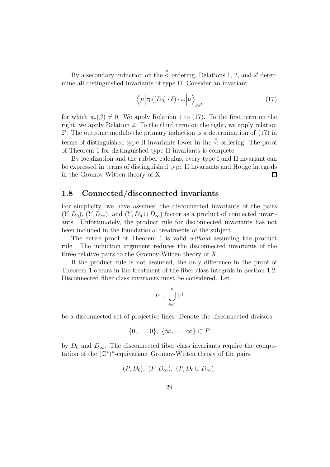By a secondary induction on the  $\stackrel{\circ}{\le}$  ordering, Relations 1, 2, and 2' determine all distinguished invariants of type II. Consider an invariant

$$
\langle \mu | \tau_0([D_0] \cdot \delta) \cdot \omega | \nu \rangle_{g,\beta} \tag{17}
$$

for which  $\pi_*(\beta) \neq 0$ . We apply Relation 1 to (17). To the first term on the right, we apply Relation 2. To the third term on the right, we apply relation 2 ′ . The outcome modulo the primary induction is a determination of (17) in terms of distinguished type II invariants lower in the  $\stackrel{\circ}{\lt}$  ordering. The proof of Theorem 1 for distinguished type II invariants is complete.

By localization and the rubber calculus, every type I and II invariant can be expressed in terms of distinguished type II invariants and Hodge integrals in the Gromov-Witten theory of X.  $\Box$ 

## 1.8 Connected/disconnected invariants

For simplicity, we have assumed the disconnected invariants of the pairs  $(Y, D_0)$ ,  $(Y, D_{\infty})$ , and  $(Y, D_0 \cup D_{\infty})$  factor as a product of connected invariants. Unfortunately, the product rule for disconnected invariants has not been included in the foundational treatments of the subject.

The entire proof of Theorem 1 is valid *without* assuming the product rule. The induction argument reduces the disconnected invariants of the three relative pairs to the Gromov-Witten theory of X.

If the product rule is not assumed, the only difference in the proof of Theorem 1 occurs in the treatment of the fiber class integrals in Section 1.2. Disconnected fiber class invariants must be considered. Let

$$
P = \bigcup_{i=1}^{n} \mathbb{P}^1
$$

be a disconnected set of projective lines. Denote the disconnected divisors

$$
\{0,\ldots,0\},\ \{\infty,\ldots,\infty\}\subset P
$$

by  $D_0$  and  $D_{\infty}$ . The disconnected fiber class invariants require the computation of the  $(\mathbb{C}^*)^n$ -equivariant Gromov-Witten theory of the pairs

$$
(P, D_0), (P, D_{\infty}), (P, D_0 \cup D_{\infty}).
$$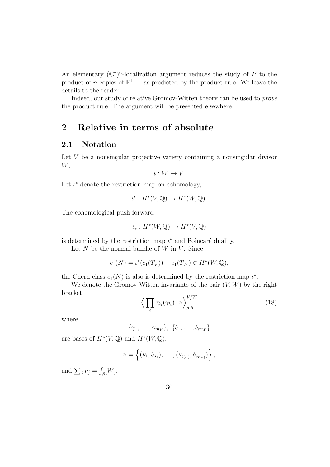An elementary  $(\mathbb{C}^*)^n$ -localization argument reduces the study of P to the product of n copies of  $\mathbb{P}^1$  — as predicted by the product rule. We leave the details to the reader.

Indeed, our study of relative Gromov-Witten theory can be used to prove the product rule. The argument will be presented elsewhere.

# 2 Relative in terms of absolute

## 2.1 Notation

Let V be a nonsingular projective variety containing a nonsingular divisor W,

$$
\iota: W \to V.
$$

Let  $\iota^*$  denote the restriction map on cohomology,

$$
\iota^*: H^*(V, \mathbb{Q}) \to H^*(W, \mathbb{Q}).
$$

The cohomological push-forward

$$
\iota_*:H^*(W,\mathbb{Q})\to H^*(V,\mathbb{Q})
$$

is determined by the restriction map  $\iota^*$  and Poincaré duality.

Let  $N$  be the normal bundle of  $W$  in  $V$ . Since

$$
c_1(N) = \iota^*(c_1(T_V)) - c_1(T_W) \in H^*(W, \mathbb{Q}),
$$

the Chern class  $c_1(N)$  is also is determined by the restriction map  $\iota^*$ .

We denote the Gromov-Witten invariants of the pair  $(V, W)$  by the right bracket

$$
\left\langle \prod_{i} \tau_{k_i}(\gamma_{l_i}) \middle| \nu \right\rangle_{g,\beta}^{V/W} \tag{18}
$$

where

$$
\{\gamma_1,\ldots,\gamma_{m_V}\},\ \{\delta_1,\ldots,\delta_{m_W}\}\
$$

are bases of  $H^*(V, \mathbb{Q})$  and  $H^*(W, \mathbb{Q})$ ,

$$
\nu = \left\{ (\nu_1, \delta_{s_1}), \ldots, (\nu_{\ell(\nu)}, \delta_{s_{\ell(\nu)}}) \right\},\,
$$

and  $\sum_j \nu_j = \int_{\beta} [W]$ .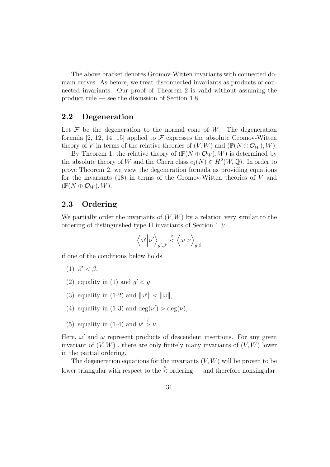The above bracket denotes Gromov-Witten invariants with connected domain curves. As before, we treat disconnected invariants as products of connected invariants. Our proof of Theorem 2 is valid without assuming the product rule — see the discussion of Section 1.8.

## 2.2 Degeneration

Let  $\mathcal F$  be the degeneration to the normal cone of W. The degeneration formula [2, 12, 14, 15] applied to  $\mathcal F$  expresses the absolute Gromov-Witten theory of V in terms of the relative theories of  $(V, W)$  and  $(\mathbb{P}(N \oplus \mathcal{O}_W), W)$ .

By Theorem 1, the relative theory of  $(\mathbb{P}(N \oplus \mathcal{O}_W), W)$  is determined by the absolute theory of W and the Chern class  $c_1(N) \in H^2(W, \mathbb{Q})$ . In order to prove Theorem 2, we view the degeneration formula as providing equations for the invariants  $(18)$  in terms of the Gromov-Witten theories of V and  $(\mathbb{P}(N \oplus \mathcal{O}_W), W).$ 

## 2.3 Ordering

We partially order the invariants of  $(V, W)$  by a relation very similar to the ordering of distinguished type II invariants of Section 1.3:

$$
\Big\langle \omega' \Big| \nu' \Big\rangle_{g',\beta'} \stackrel{\circ}{\lt} \Big\langle \omega \Big| \nu \Big\rangle_{g,\beta}
$$

if one of the conditions below holds

- (1)  $\beta' < \beta$ ,
- (2) equality in (1) and  $g' < g$ ,
- (3) equality in (1-2) and  $\|\omega'\| < \|\omega\|$ ,
- (4) equality in (1-3) and  $deg(\nu') > deg(\nu)$ ,
- (5) equality in (1-4) and  $\nu' > \nu$ ,

Here,  $\omega'$  and  $\omega$  represent products of descendent insertions. For any given invariant of  $(V, W)$ , there are only finitely many invariants of  $(V, W)$  lower in the partial ordering.

The degeneration equations for the invariants  $(V, W)$  will be proven to be lower triangular with respect to the  $\stackrel{\circ}{\le}$  ordering — and therefore nonsingular.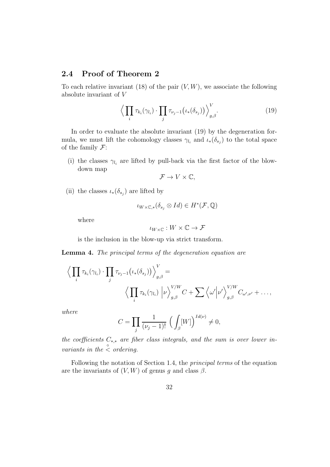## 2.4 Proof of Theorem 2

To each relative invariant (18) of the pair  $(V, W)$ , we associate the following absolute invariant of V

$$
\left\langle \prod_{i} \tau_{k_i}(\gamma_{l_i}) \cdot \prod_{j} \tau_{\nu_j - 1}(\iota_*(\delta_{s_j})) \right\rangle_{g,\beta}^V.
$$
 (19)

In order to evaluate the absolute invariant (19) by the degeneration formula, we must lift the cohomology classes  $\gamma_{l_i}$  and  $\iota_*(\delta_{s_j})$  to the total space of the family  $\mathcal{F}$ :

(i) the classes  $\gamma_{l_i}$  are lifted by pull-back via the first factor of the blowdown map

$$
\mathcal{F} \to V \times \mathbb{C},
$$

(ii) the classes  $\iota_*(\delta_{s_j})$  are lifted by

$$
\iota_{W\times\mathbb{C},*}(\delta_{s_j}\otimes Id)\in H^*(\mathcal{F},\mathbb{Q})
$$

where

$$
\iota_{W\times\mathbb{C}}:W\times\mathbb{C}\to\mathcal{F}
$$

is the inclusion in the blow-up via strict transform.

Lemma 4. The principal terms of the degeneration equation are

$$
\left\langle \prod_i \tau_{k_i}(\gamma_{l_i}) \cdot \prod_j \tau_{\nu_j - 1}(\iota_*(\delta_{s_j})) \right\rangle_{g,\beta}^V = \left\langle \prod_i \tau_{k_i}(\gamma_{l_i}) \left| \nu \right\rangle_{g,\beta}^{V/W} C + \sum \left\langle \omega' \left| \nu' \right\rangle_{g,\beta}^{V/W} C_{\omega',\nu'} + \dots, \right\rangle
$$

where

$$
C = \prod_{j} \frac{1}{(\nu_j - 1)!} \left( \int_{\beta} [W] \right)^{Id(\nu)} \neq 0,
$$

the coefficients  $C_{*,*}$  are fiber class integrals, and the sum is over lower invariants in the  $\stackrel{\circ}{\leq}$  ordering.

Following the notation of Section 1.4, the principal terms of the equation are the invariants of  $(V, W)$  of genus g and class  $\beta$ .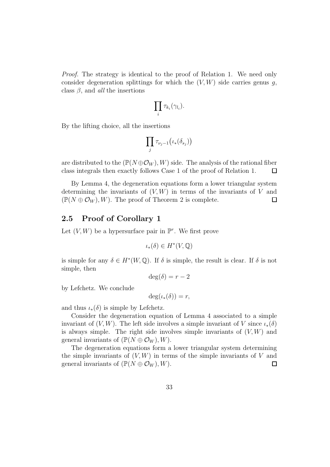Proof. The strategy is identical to the proof of Relation 1. We need only consider degeneration splittings for which the  $(V, W)$  side carries genus q, class  $\beta$ , and *all* the insertions

$$
\prod_i \tau_{k_i}(\gamma_{l_i}).
$$

By the lifting choice, all the insertions

$$
\prod_j \tau_{\nu_j-1} \big(\iota_*(\delta_{s_j})\big)
$$

are distributed to the  $(\mathbb{P}(N \oplus \mathcal{O}_W), W)$  side. The analysis of the rational fiber class integrals then exactly follows Case 1 of the proof of Relation 1.  $\Box$ 

By Lemma 4, the degeneration equations form a lower triangular system determining the invariants of  $(V, W)$  in terms of the invariants of V and  $(\mathbb{P}(N \oplus \mathcal{O}_W), W)$ . The proof of Theorem 2 is complete.  $\Box$ 

## 2.5 Proof of Corollary 1

Let  $(V, W)$  be a hypersurface pair in  $\mathbb{P}^r$ . We first prove

$$
\iota_*(\delta) \in H^*(V,{\mathbb{Q}})
$$

is simple for any  $\delta \in H^*(W, \mathbb{Q})$ . If  $\delta$  is simple, the result is clear. If  $\delta$  is not simple, then

$$
\deg(\delta) = r - 2
$$

by Lefchetz. We conclude

 $deg(\iota_*(\delta)) = r$ ,

and thus  $\iota_*(\delta)$  is simple by Lefchetz.

Consider the degeneration equation of Lemma 4 associated to a simple invariant of  $(V, W)$ . The left side involves a simple invariant of V since  $\iota_*(\delta)$ is always simple. The right side involves simple invariants of  $(V, W)$  and general invariants of  $(\mathbb{P}(N \oplus \mathcal{O}_W), W)$ .

The degeneration equations form a lower triangular system determining the simple invariants of  $(V, W)$  in terms of the simple invariants of V and general invariants of  $(\mathbb{P}(N \oplus \mathcal{O}_W), W)$ .  $\Box$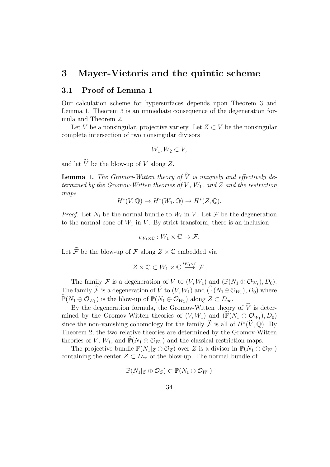# 3 Mayer-Vietoris and the quintic scheme

## 3.1 Proof of Lemma 1

Our calculation scheme for hypersurfaces depends upon Theorem 3 and Lemma 1. Theorem 3 is an immediate consequence of the degeneration formula and Theorem 2.

Let V be a nonsingular, projective variety. Let  $Z \subset V$  be the nonsingular complete intersection of two nonsingular divisors

$$
W_1, W_2 \subset V
$$

and let  $\widetilde{V}$  be the blow-up of V along Z.

**Lemma 1.** The Gromov-Witten theory of  $\widetilde{V}$  is uniquely and effectively determined by the Gromov-Witten theories of V,  $W_1$ , and Z and the restriction maps

$$
H^*(V, \mathbb{Q}) \to H^*(W_1, \mathbb{Q}) \to H^*(Z, \mathbb{Q}).
$$

*Proof.* Let  $N_i$  be the normal bundle to  $W_i$  in V. Let  $\mathcal F$  be the degeneration to the normal cone of  $W_1$  in  $V$ . By strict transform, there is an inclusion

$$
\iota_{W_1\times\mathbb{C}}:W_1\times\mathbb{C}\to\mathcal{F}.
$$

Let  $\widetilde{\mathcal{F}}$  be the blow-up of  $\mathcal F$  along  $Z \times \mathbb C$  embedded via

$$
Z \times \mathbb{C} \subset W_1 \times \mathbb{C} \stackrel{\iota_{W_1 \times \mathbb{C}}}{\longrightarrow} \mathcal{F}.
$$

The family F is a degeneration of V to  $(V, W_1)$  and  $(\mathbb{P}(N_1 \oplus \mathcal{O}_{W_1}), D_0)$ . The family F is a degeneration of V to  $(V, W_1)$  and  $(\mathbb{P}(N_1 \oplus \mathcal{O}_{W_1}), D_0)$  where  $\mathbb{P}(N_1 \oplus \mathcal{O}_{W_1})$  is the blow-up of  $\mathbb{P}(N_1 \oplus \mathcal{O}_{W_1})$  along  $Z \subset D_{\infty}$ .

By the degeneration formula, the Gromov-Witten theory of  $\tilde{V}$  is determined by the Gromov-Witten theories of  $(V, W_1)$  and  $(\mathbb{P}(N_1 \oplus \mathcal{Q}_{W_1}), D_0)$ since the non-vanishing cohomology for the family  $\mathcal{F}$  is all of  $H^*(V, \mathbb{Q})$ . By Theorem 2, the two relative theories are determined by the Gromov-Witten theories of V,  $W_1$ , and  $\mathbb{P}(N_1 \oplus \mathcal{O}_{W_1})$  and the classical restriction maps.

The projective bundle  $\mathbb{P}(N_1|_Z \oplus \mathcal{O}_Z)$  over Z is a divisor in  $\mathbb{P}(N_1 \oplus \mathcal{O}_{W_1})$ containing the center  $Z \subset D_{\infty}$  of the blow-up. The normal bundle of

$$
\mathbb{P}(N_1|_Z \oplus \mathcal{O}_Z) \subset \mathbb{P}(N_1 \oplus \mathcal{O}_{W_1})
$$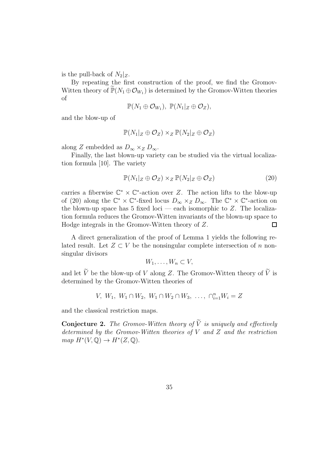is the pull-back of  $N_2|_Z$ .

By repeating the first construction of the proof, we find the Gromov-Witten theory of  $\mathbb{P}(N_1 \oplus \mathcal{O}_{W_1})$  is determined by the Gromov-Witten theories of

$$
\mathbb{P}(N_1 \oplus \mathcal{O}_{W_1}), \ \mathbb{P}(N_1|_Z \oplus \mathcal{O}_Z),
$$

and the blow-up of

$$
\mathbb{P}(N_1|_Z \oplus \mathcal{O}_Z) \times_Z \mathbb{P}(N_2|_Z \oplus \mathcal{O}_Z)
$$

along Z embedded as  $D_{\infty} \times_Z D_{\infty}$ .

Finally, the last blown-up variety can be studied via the virtual localization formula [10]. The variety

$$
\mathbb{P}(N_1|_Z \oplus \mathcal{O}_Z) \times_Z \mathbb{P}(N_2|_Z \oplus \mathcal{O}_Z) \tag{20}
$$

carries a fiberwise  $\mathbb{C}^* \times \mathbb{C}^*$ -action over Z. The action lifts to the blow-up of (20) along the  $\mathbb{C}^* \times \mathbb{C}^*$ -fixed locus  $D_{\infty} \times_Z D_{\infty}$ . The  $\mathbb{C}^* \times \mathbb{C}^*$ -action on the blown-up space has 5 fixed loci — each isomorphic to  $Z$ . The localization formula reduces the Gromov-Witten invariants of the blown-up space to Hodge integrals in the Gromov-Witten theory of Z.  $\Box$ 

A direct generalization of the proof of Lemma 1 yields the following related result. Let  $Z \subset V$  be the nonsingular complete intersection of n nonsingular divisors

$$
W_1, \ldots, W_n \subset V
$$

and let  $\widetilde{V}$  be the blow-up of V along Z. The Gromov-Witten theory of  $\widetilde{V}$  is determined by the Gromov-Witten theories of

$$
V, W_1, W_1 \cap W_2, W_1 \cap W_2 \cap W_3, \ldots, \cap_{i=1}^n W_i = Z
$$

and the classical restriction maps.

**Conjecture 2.** The Gromov-Witten theory of  $\widetilde{V}$  is uniquely and effectively determined by the Gromov-Witten theories of  $V$  and  $Z$  and the restriction  $map H^*(V, \mathbb{Q}) \to H^*(Z, \mathbb{Q}).$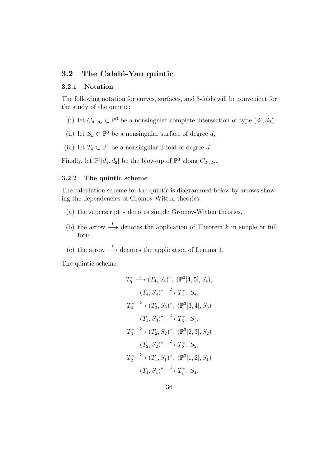## 3.2 The Calabi-Yau quintic

### 3.2.1 Notation

The following notation for curves, surfaces, and 3-folds will be convenient for the study of the quintic:

- (i) let  $C_{d_1,d_2} \subset \mathbb{P}^3$  be a nonsingular complete intersection of type  $(d_1, d_2)$ ,
- (ii) let  $S_d \subset \mathbb{P}^3$  be a nonsingular surface of degree d,
- (iii) let  $T_d \subset \mathbb{P}^4$  be a nonsingular 3-fold of degree d.

Finally, let  $\mathbb{P}^3[d_1, d_2]$  be the blow-up of  $\mathbb{P}^3$  along  $C_{d_1, d_2}$ .

### 3.2.2 The quintic scheme

The calculation scheme for the quintic is diagrammed below by arrows showing the dependencies of Gromov-Witten theories.

- (a) the superscript ∗ denotes simple Gromov-Witten theories,
- (b) the arrow  $\stackrel{k}{\longrightarrow}$  denotes the application of Theorem k in simple or full form,
- (c) the arrow  $\stackrel{l}{\longrightarrow}$  denotes the application of Lemma 1.

The quintic scheme:

$$
T_5^* \xrightarrow{3} (T_4, S_4)^*, \ (\mathbb{P}^3[4, 5], S_4),
$$
  
\n
$$
(T_4, S_4)^* \xrightarrow{2} T_4^*, S_4,
$$
  
\n
$$
T_4^* \xrightarrow{3} (T_3, S_3)^*, \ (\mathbb{P}^3[3, 4], S_3)
$$
  
\n
$$
(T_3, S_3)^* \xrightarrow{2} T_3^*, S_3,
$$
  
\n
$$
T_3^* \xrightarrow{3} (T_2, S_2)^*, \ (\mathbb{P}^3[2, 3], S_2)
$$
  
\n
$$
(T_2, S_2)^* \xrightarrow{2} T_2^*, S_2,
$$
  
\n
$$
T_2^* \xrightarrow{3} (T_1, S_1)^*, \ (\mathbb{P}^3[1, 2], S_1)
$$
  
\n
$$
(T_1, S_1)^* \xrightarrow{2} T_1^*, S_1,
$$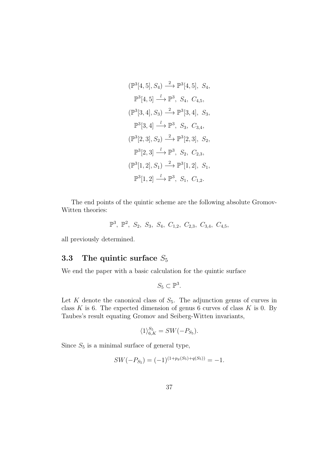$$
(\mathbb{P}^{3}[4,5], S_{4}) \xrightarrow{2} \mathbb{P}^{3}[4,5], S_{4},
$$
  
\n
$$
\mathbb{P}^{3}[4,5] \xrightarrow{l} \mathbb{P}^{3}, S_{4}, C_{4,5},
$$
  
\n
$$
(\mathbb{P}^{3}[3,4], S_{3}) \xrightarrow{2} \mathbb{P}^{3}[3,4], S_{3},
$$
  
\n
$$
\mathbb{P}^{3}[3,4] \xrightarrow{l} \mathbb{P}^{3}, S_{3}, C_{3,4},
$$
  
\n
$$
(\mathbb{P}^{3}[2,3], S_{2}) \xrightarrow{2} \mathbb{P}^{3}[2,3], S_{2},
$$
  
\n
$$
\mathbb{P}^{3}[2,3] \xrightarrow{l} \mathbb{P}^{3}, S_{2}, C_{2,3},
$$
  
\n
$$
(\mathbb{P}^{3}[1,2], S_{1}) \xrightarrow{2} \mathbb{P}^{3}[1,2], S_{1},
$$
  
\n
$$
\mathbb{P}^{3}[1,2] \xrightarrow{l} \mathbb{P}^{3}, S_{1}, C_{1,2}.
$$

The end points of the quintic scheme are the following absolute Gromov-Witten theories:

$$
\mathbb{P}^3, \ \mathbb{P}^2, \ S_2, \ S_3, \ S_4, \ C_{1,2}, \ C_{2,3}, \ C_{3,4}, \ C_{4,5},
$$

all previously determined.

# 3.3 The quintic surface  $S_5$

We end the paper with a basic calculation for the quintic surface

$$
S_5 \subset \mathbb{P}^3.
$$

Let K denote the canonical class of  $S_5$ . The adjunction genus of curves in class  $K$  is 6. The expected dimension of genus 6 curves of class  $K$  is 0. By Taubes's result equating Gromov and Seiberg-Witten invariants,

$$
\langle 1 \rangle_{6,K}^{S_5} = SW(-P_{S_5}).
$$

Since  $S_5$  is a minimal surface of general type,

$$
SW(-P_{S_5}) = (-1)^{(1+p_g(S_5)+q(S_5))} = -1.
$$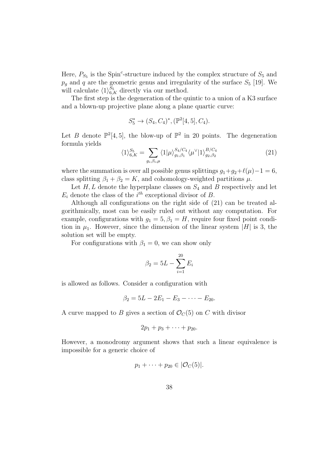Here,  $P_{S_5}$  is the Spin<sup>c</sup>-structure induced by the complex structure of  $S_5$  and  $p_g$  and q are the geometric genus and irregularity of the surface  $S_5$  [19]. We will calculate  $\langle 1 \rangle_{6,K}^{S_5}$  directly via our method.

The first step is the degeneration of the quintic to a union of a K3 surface and a blown-up projective plane along a plane quartic curve:

$$
S_5^* \to (S_4, C_4)^*, (\mathbb{P}^2[4, 5], C_4).
$$

Let B denote  $\mathbb{P}^2[4,5]$ , the blow-up of  $\mathbb{P}^2$  in 20 points. The degeneration formula yields

$$
\langle 1 \rangle_{6,K}^{S_5} = \sum_{g_i, \beta_i, \mu} \langle 1 | \mu \rangle_{g_1, \beta_1}^{S_4/C_4} \langle \mu^{\vee} | 1 \rangle_{g_2, \beta_2}^{B/C_4}
$$
(21)

where the summation is over all possible genus splittings  $g_1+g_2+\ell(\mu)-1=6$ , class splitting  $\beta_1 + \beta_2 = K$ , and cohomology-weighted partitions  $\mu$ .

Let  $H, L$  denote the hyperplane classes on  $S_4$  and B respectively and let  $E_i$  denote the class of the  $i^{th}$  exceptional divisor of B.

Although all configurations on the right side of (21) can be treated algorithmically, most can be easily ruled out without any computation. For example, configurations with  $g_1 = 5, \beta_1 = H$ , require four fixed point condition in  $\mu_1$ . However, since the dimension of the linear system |H| is 3, the solution set will be empty.

For configurations with  $\beta_1 = 0$ , we can show only

$$
\beta_2 = 5L - \sum_{i=1}^{20} E_i
$$

is allowed as follows. Consider a configuration with

$$
\beta_2 = 5L - 2E_1 - E_3 - \cdots - E_{20}.
$$

A curve mapped to B gives a section of  $\mathcal{O}_C(5)$  on C with divisor

$$
2p_1+p_3+\cdots+p_{20}.
$$

However, a monodromy argument shows that such a linear equivalence is impossible for a generic choice of

$$
p_1+\cdots+p_{20}\in |\mathcal{O}_C(5)|.
$$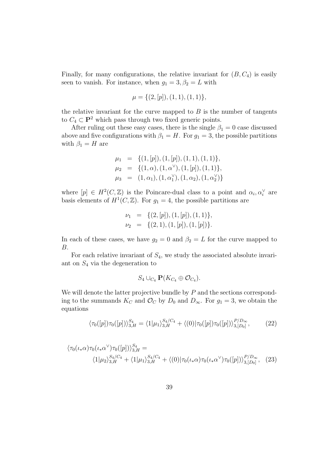Finally, for many configurations, the relative invariant for  $(B, C_4)$  is easily seen to vanish. For instance, when  $g_1 = 3, \beta_2 = L$  with

$$
\mu = \{ (2, [p]), (1, 1), (1, 1) \},\
$$

the relative invariant for the curve mapped to  $B$  is the number of tangents to  $C_4 \subset \mathbf{P}^2$  which pass through two fixed generic points.

After ruling out these easy cases, there is the single  $\beta_1 = 0$  case discussed above and five configurations with  $\beta_1 = H$ . For  $g_1 = 3$ , the possible partitions with  $\beta_1 = H$  are

$$
\mu_1 = \{ (1, [p]), (1, [p]), (1, 1), (1, 1) \}, \n\mu_2 = \{ (1, \alpha), (1, \alpha^{\vee}), (1, [p]), (1, 1) \}, \n\mu_3 = (1, \alpha_1), (1, \alpha_1^{\vee}), (1, \alpha_2), (1, \alpha_2^{\vee}) \}
$$

where  $[p] \in H^2(C, \mathbb{Z})$  is the Poincare-dual class to a point and  $\alpha_i, \alpha_i^{\vee}$  are basis elements of  $H^1(C, \mathbb{Z})$ . For  $g_1 = 4$ , the possible partitions are

$$
\nu_1 = \{ (2, [p]), (1, [p]), (1, 1) \},
$$
  

$$
\nu_2 = \{ (2, 1), (1, [p]), (1, [p]) \}.
$$

In each of these cases, we have  $g_2 = 0$  and  $\beta_2 = L$  for the curve mapped to B.

For each relative invariant of  $S_4$ , we study the associated absolute invariant on  $S_4$  via the degeneration to

$$
S_4 \cup_{C_4} \mathbf{P}(K_{C_4} \oplus \mathcal{O}_{C_4}).
$$

We will denote the latter projective bundle by  $P$  and the sections corresponding to the summands  $K_C$  and  $\mathcal{O}_C$  by  $D_0$  and  $D_{\infty}$ . For  $g_1 = 3$ , we obtain the equations

$$
\langle \tau_0([p])\tau_0([p])\rangle_{3,H}^{S_4} = \langle 1|\mu_1\rangle_{3,H}^{S_4/C_4} + \langle (0)|\tau_0([p])\tau_0([p])\rangle_{3,[D_0]}^{P/D_{\infty}},\tag{22}
$$

$$
\langle \tau_0(\iota_*\alpha)\tau_0(\iota_*\alpha^\vee)\tau_0([p])\rangle_{3,H}^{S_4} =
$$
  

$$
\langle 1|\mu_2\rangle_{3,H}^{S_4/C_4} + \langle 1|\mu_1\rangle_{3,H}^{S_4/C_4} + \langle 0| |\tau_0(\iota_*\alpha)\tau_0(\iota_*\alpha^\vee)\tau_0([p])\rangle_{3,[D_0]}^{P/D_\infty}, (23)
$$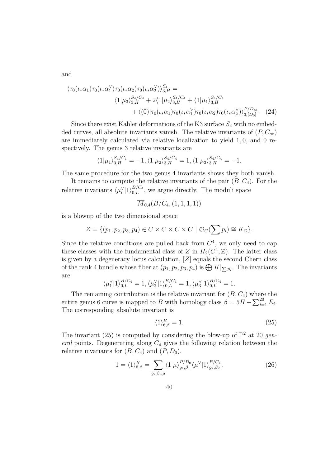and

$$
\langle \tau_0(\iota_* \alpha_1) \tau_0(\iota_* \alpha_1^{\vee}) \tau_0(\iota_* \alpha_2) \tau_0(\iota_* \alpha_2^{\vee}) \rangle_{3,H}^{S_4} =
$$
\n
$$
\langle 1 | \mu_3 \rangle_{3,H}^{S_4/C_4} + 2 \langle 1 | \mu_2 \rangle_{3,H}^{S_4/C_4} + \langle 1 | \mu_1 \rangle_{3,H}^{S_4/C_4}
$$
\n
$$
+ \langle 0 | \tau_0(\iota_* \alpha_1) \tau_0(\iota_* \alpha_1^{\vee}) \tau_0(\iota_* \alpha_2) \tau_0(\iota_* \alpha_2^{\vee}) \rangle_{3,[D_0]}^{P/D_{\infty}}.
$$
\n(24)

Since there exist Kahler deformations of the K3 surface  $S_4$  with no embedded curves, all absolute invariants vanish. The relative invariants of  $(P, C_{\infty})$ are immediately calculated via relative localization to yield 1, 0, and 0 respectively. The genus 3 relative invariants are

$$
\langle 1|\mu_1\rangle_{3,H}^{S_4/C_4} = -1, \langle 1|\mu_2\rangle_{3,H}^{S_4/C_4} = 1, \langle 1|\mu_3\rangle_{3,H}^{S_4/C_4} = -1.
$$

The same procedure for the two genus 4 invariants shows they both vanish.

It remains to compute the relative invariants of the pair  $(B, C_4)$ . For the relative invariants  $\langle \mu_i^{\vee} | 1 \rangle_{0,L}^{B/C_4}$ , we argue directly. The moduli space

$$
\overline{M}_{0,4}(B/C_4,(1,1,1,1))
$$

is a blowup of the two dimensional space

$$
Z = \{ (p_1, p_2, p_3, p_4) \in C \times C \times C \times C \mid \mathcal{O}_C(\sum p_i) \cong K_C \}.
$$

Since the relative conditions are pulled back from  $C<sup>4</sup>$ , we only need to cap these classes with the fundamental class of Z in  $H_2(C^4, \mathbb{Z})$ . The latter class is given by a degeneracy locus calculation, [Z] equals the second Chern class of the rank 4 bundle whose fiber at  $(p_1, p_2, p_3, p_4)$  is  $\bigoplus K|_{\sum p_i}$ . The invariants are

$$
\langle \mu_1^{\vee}|1\rangle_{0,L}^{B/C_4} = 1, \langle \mu_2^{\vee}|1\rangle_{0,L}^{B/C_4} = 1, \langle \mu_3^{\vee}|1\rangle_{0,L}^{B/C_4} = 1.
$$

The remaining contribution is the relative invariant for  $(B, C_4)$  where the entire genus 6 curve is mapped to B with homology class  $\beta = 5H - \sum_{i=1}^{20} E_i$ . The corresponding absolute invariant is

$$
\langle 1 \rangle_{6,\beta}^B = 1. \tag{25}
$$

The invariant (25) is computed by considering the blow-up of  $\mathbb{P}^2$  at 20 general points. Degenerating along  $C_4$  gives the following relation between the relative invariants for  $(B, C_4)$  and  $(P, D_0)$ .

$$
1 = \langle 1 \rangle_{6,\beta}^{B} = \sum_{g_i, \beta_i, \mu} \langle 1 | \mu \rangle_{g_1, \beta_1}^{P/D_0} \langle \mu^{\vee} | 1 \rangle_{g_2, \beta_2}^{B/C_4}, \tag{26}
$$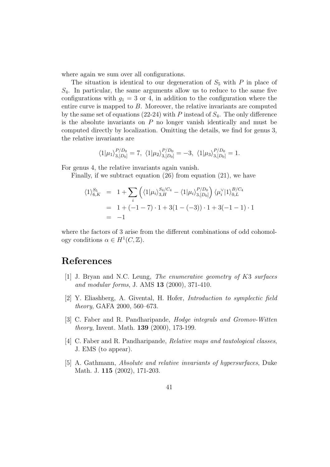where again we sum over all configurations.

The situation is identical to our degeneration of  $S_5$  with P in place of  $S_4$ . In particular, the same arguments allow us to reduce to the same five configurations with  $g_1 = 3$  or 4, in addition to the configuration where the entire curve is mapped to B. Moreover, the relative invariants are computed by the same set of equations (22-24) with P instead of  $S_4$ . The only difference is the absolute invariants on  $P$  no longer vanish identically and must be computed directly by localization. Omitting the details, we find for genus 3, the relative invariants are

$$
\langle 1|\mu_1\rangle_{3,[D_0]}^{P/D_0} = 7, \ \langle 1|\mu_2\rangle_{3,[D_0]}^{P/D_0} = -3, \ \langle 1|\mu_3\rangle_{3,[D_0]}^{P/D_0} = 1.
$$

For genus 4, the relative invariants again vanish.

Finally, if we subtract equation (26) from equation (21), we have

$$
\langle 1 \rangle_{6,K}^{S_5} = 1 + \sum_{i} \left( \langle 1 | \mu_i \rangle_{3,H}^{S_4/C_4} - \langle 1 | \mu_i \rangle_{3,[D_0]}^{P/D_0} \right) \langle \mu_i^{\vee} | 1 \rangle_{0,L}^{B/C_4}
$$
  
= 1 + (-1 - 7) \cdot 1 + 3(1 - (-3)) \cdot 1 + 3(-1 - 1) \cdot 1  
= -1

where the factors of 3 arise from the different combinations of odd cohomology conditions  $\alpha \in H^1(C, \mathbb{Z})$ .

# References

- [1] J. Bryan and N.C. Leung, The enumerative geometry of K3 surfaces and modular forms, J. AMS 13 (2000), 371-410.
- [2] Y. Eliashberg, A. Givental, H. Hofer, Introduction to symplectic field theory, GAFA 2000, 560–673.
- [3] C. Faber and R. Pandharipande, *Hodge integrals and Gromov-Witten* theory, Invent. Math. 139 (2000), 173-199.
- [4] C. Faber and R. Pandharipande, Relative maps and tautological classes, J. EMS (to appear).
- [5] A. Gathmann, Absolute and relative invariants of hypersurfaces, Duke Math. J. 115 (2002), 171-203.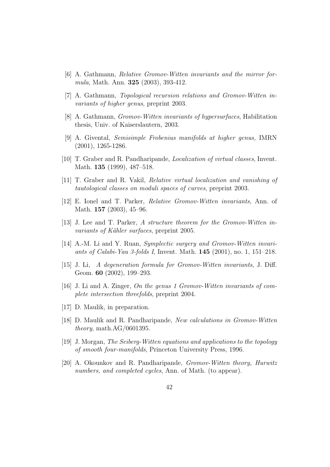- [6] A. Gathmann, Relative Gromov-Witten invariants and the mirror formula, Math. Ann. 325 (2003), 393-412.
- [7] A. Gathmann, Topological recursion relations and Gromov-Witten invariants of higher genus, preprint 2003.
- [8] A. Gathmann, Gromov-Witten invariants of hypersurfaces, Habilitation thesis, Univ. of Kaiserslautern, 2003.
- [9] A. Givental, Semisimple Frobenius manifolds at higher genus, IMRN (2001), 1265-1286.
- [10] T. Graber and R. Pandharipande, Localization of virtual classes, Invent. Math. **135** (1999), 487–518.
- [11] T. Graber and R. Vakil, Relative virtual localization and vanishing of tautological classes on moduli spaces of curves, preprint 2003.
- [12] E. Ionel and T. Parker, Relative Gromov-Witten invariants, Ann. of Math. **157** (2003), 45–96.
- [13] J. Lee and T. Parker, A structure theorem for the Gromov-Witten invariants of Kähler surfaces, preprint 2005.
- [14] A.-M. Li and Y. Ruan, Symplectic surgery and Gromov-Witten invariants of Calabi-Yau 3-folds I, Invent. Math. 145 (2001), no. 1, 151–218.
- [15] J. Li, A degeneration formula for Gromov-Witten invariants, J. Diff. Geom. **60** (2002), 199–293.
- [16] J. Li and A. Zinger, On the genus 1 Gromov-Witten invariants of complete intersection threefolds, preprint 2004.
- [17] D. Maulik, in preparation.
- [18] D. Maulik and R. Pandharipande, New calculations in Gromov-Witten theory, math.AG/0601395.
- [19] J. Morgan, The Seiberg-Witten equations and applications to the topology of smooth four-manifolds, Princeton University Press, 1996.
- [20] A. Okounkov and R. Pandharipande, Gromov-Witten theory, Hurwitz numbers, and completed cycles, Ann. of Math. (to appear).